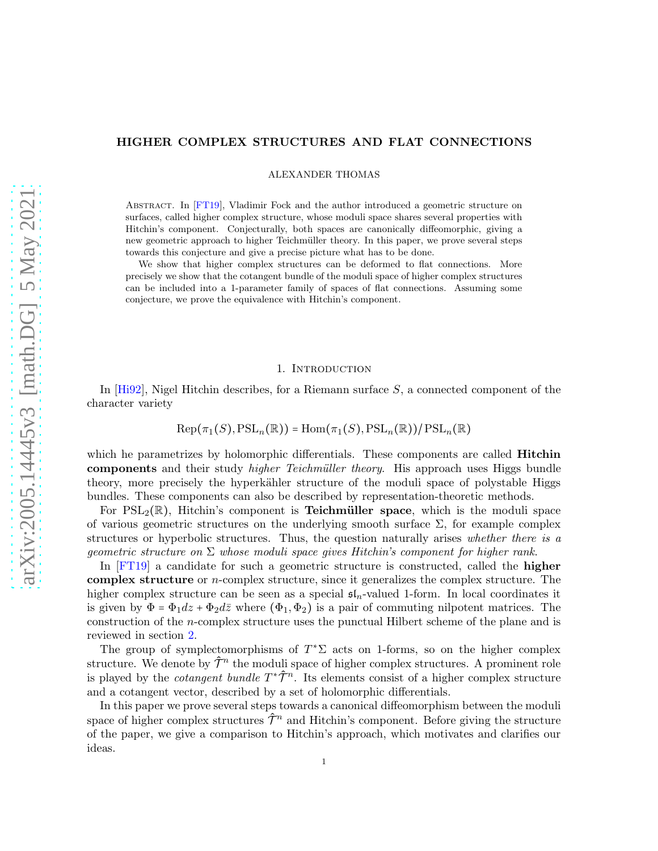# HIGHER COMPLEX STRUCTURES AND FLAT CONNECTIONS

ALEXANDER THOMAS

ABSTRACT. In [\[FT19\]](#page-30-0), Vladimir Fock and the author introduced a geometric structure on surfaces, called higher complex structure, whose moduli space shares several properties with Hitchin's component. Conjecturally, both spaces are canonically diffeomorphic, giving a new geometric approach to higher Teichmüller theory. In this paper, we prove several steps towards this conjecture and give a precise picture what has to be done.

We show that higher complex structures can be deformed to flat connections. More precisely we show that the cotangent bundle of the moduli space of higher complex structures can be included into a 1-parameter family of spaces of flat connections. Assuming some conjecture, we prove the equivalence with Hitchin's component.

#### 1. INTRODUCTION

In [\[Hi92\]](#page-31-0), Nigel Hitchin describes, for a Riemann surface S, a connected component of the character variety

$$
\mathrm{Rep}(\pi_1(S), \mathrm{PSL}_n(\mathbb{R})) = \mathrm{Hom}(\pi_1(S), \mathrm{PSL}_n(\mathbb{R}))/\mathrm{PSL}_n(\mathbb{R})
$$

which he parametrizes by holomorphic differentials. These components are called **Hitchin** components and their study *higher Teichmüller theory*. His approach uses Higgs bundle theory, more precisely the hyperkähler structure of the moduli space of polystable Higgs bundles. These components can also be described by representation-theoretic methods.

For  $PSL_2(\mathbb{R})$ , Hitchin's component is **Teichmüller space**, which is the moduli space of various geometric structures on the underlying smooth surface  $\Sigma$ , for example complex structures or hyperbolic structures. Thus, the question naturally arises whether there is a qeometric structure on  $\Sigma$  whose moduli space gives Hitchin's component for higher rank.

In [\[FT19\]](#page-30-0) a candidate for such a geometric structure is constructed, called the higher complex structure or n-complex structure, since it generalizes the complex structure. The higher complex structure can be seen as a special  $\mathfrak{sl}_n$ -valued 1-form. In local coordinates it is given by  $\Phi = \Phi_1 dz + \Phi_2 d\bar{z}$  where  $(\Phi_1, \Phi_2)$  is a pair of commuting nilpotent matrices. The construction of the n-complex structure uses the punctual Hilbert scheme of the plane and is reviewed in section [2.](#page-3-0)

The group of symplectomorphisms of  $T^*\Sigma$  acts on 1-forms, so on the higher complex structure. We denote by  $\hat{\mathcal{T}}^n$  the moduli space of higher complex structures. A prominent role is played by the *cotangent bundle*  $T^*\hat{\mathcal{T}}^n$ . Its elements consist of a higher complex structure and a cotangent vector, described by a set of holomorphic differentials.

In this paper we prove several steps towards a canonical diffeomorphism between the moduli space of higher complex structures  $\hat{\mathcal{T}}^n$  and Hitchin's component. Before giving the structure of the paper, we give a comparison to Hitchin's approach, which motivates and clarifies our ideas.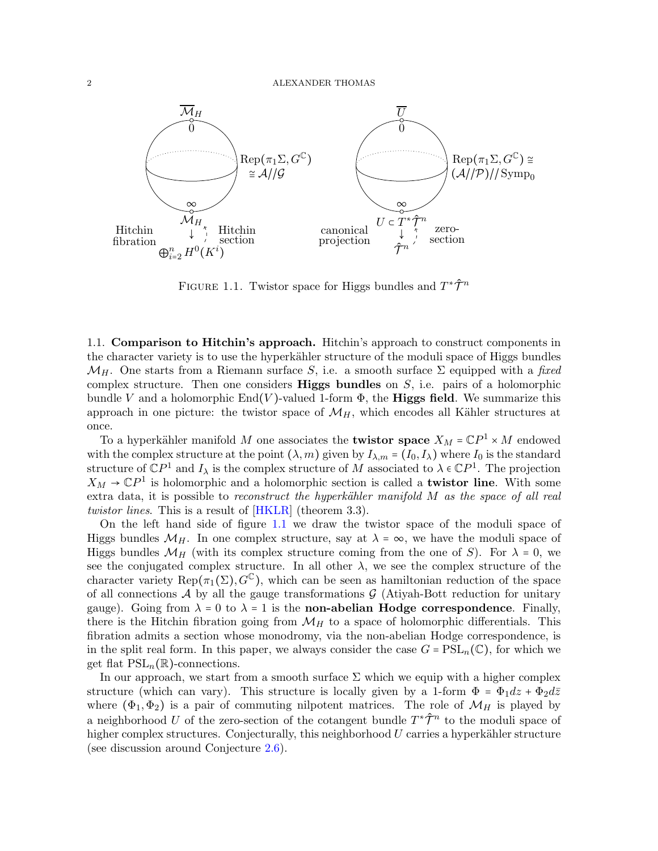

<span id="page-1-0"></span>FIGURE 1.1. Twistor space for Higgs bundles and  $T^*\hat{\mathcal{T}}^n$ 

1.1. Comparison to Hitchin's approach. Hitchin's approach to construct components in the character variety is to use the hyperkähler structure of the moduli space of Higgs bundles  $\mathcal{M}_H$ . One starts from a Riemann surface S, i.e. a smooth surface  $\Sigma$  equipped with a fixed complex structure. Then one considers **Higgs bundles** on  $S$ , i.e. pairs of a holomorphic bundle V and a holomorphic  $End(V)$ -valued 1-form  $\Phi$ , the **Higgs field**. We summarize this approach in one picture: the twistor space of  $\mathcal{M}_H$ , which encodes all Kähler structures at once.

To a hyperkähler manifold M one associates the **twistor space**  $X_M = \mathbb{C}P^1 \times M$  endowed with the complex structure at the point  $(\lambda, m)$  given by  $I_{\lambda,m} = (I_0, I_\lambda)$  where  $I_0$  is the standard structure of  $\mathbb{C}P^1$  and  $I_\lambda$  is the complex structure of M associated to  $\lambda \in \mathbb{C}P^1$ . The projection  $X_M \to \mathbb{C}P^1$  is holomorphic and a holomorphic section is called a **twistor line**. With some extra data, it is possible to reconstruct the hyperkähler manifold  $M$  as the space of all real twistor lines. This is a result of  $[HKLR]$  (theorem 3.3).

On the left hand side of figure [1.1](#page-1-0) we draw the twistor space of the moduli space of Higgs bundles  $\mathcal{M}_H$ . In one complex structure, say at  $\lambda = \infty$ , we have the moduli space of Higgs bundles  $\mathcal{M}_H$  (with its complex structure coming from the one of S). For  $\lambda = 0$ , we see the conjugated complex structure. In all other  $\lambda$ , we see the complex structure of the character variety Rep $(\pi_1(\Sigma), G^{\mathbb{C}})$ , which can be seen as hamiltonian reduction of the space of all connections  $\mathcal A$  by all the gauge transformations  $\mathcal G$  (Atiyah-Bott reduction for unitary gauge). Going from  $\lambda = 0$  to  $\lambda = 1$  is the non-abelian Hodge correspondence. Finally, there is the Hitchin fibration going from  $\mathcal{M}_H$  to a space of holomorphic differentials. This fibration admits a section whose monodromy, via the non-abelian Hodge correspondence, is in the split real form. In this paper, we always consider the case  $G = \text{PSL}_n(\mathbb{C})$ , for which we get flat  $PSL_n(\mathbb{R})$ -connections.

In our approach, we start from a smooth surface  $\Sigma$  which we equip with a higher complex structure (which can vary). This structure is locally given by a 1-form  $\Phi = \Phi_1 dz + \Phi_2 d\bar{z}$ where  $(\Phi_1, \Phi_2)$  is a pair of commuting nilpotent matrices. The role of  $\mathcal{M}_H$  is played by a neighborhood U of the zero-section of the cotangent bundle  $T^* \hat{\mathcal{T}}^n$  to the moduli space of higher complex structures. Conjecturally, this neighborhood  $U$  carries a hyperkähler structure (see discussion around Conjecture [2.6\)](#page-6-0).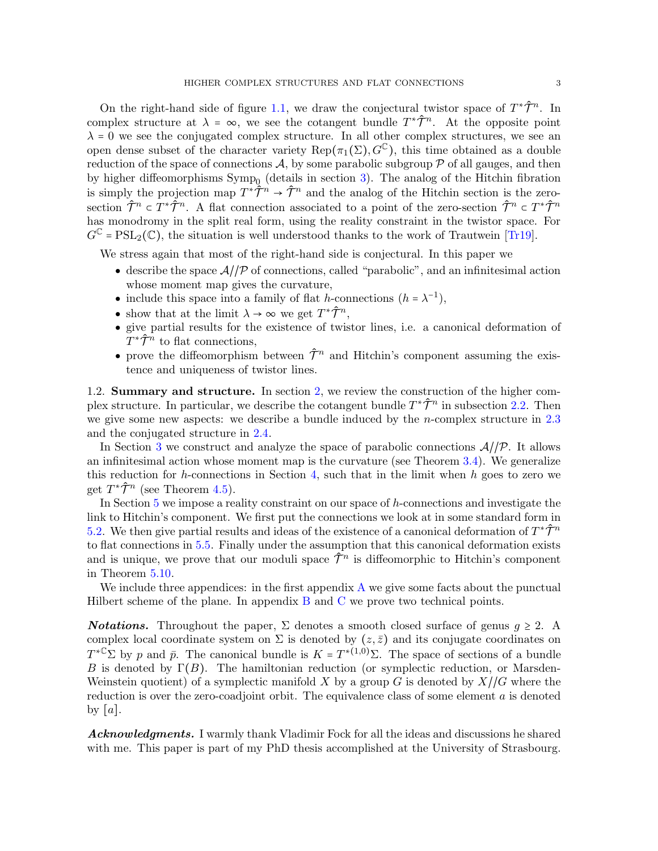On the right-hand side of figure [1.1,](#page-1-0) we draw the conjectural twistor space of  $T^*\hat{\mathcal{T}}^n$ . In complex structure at  $\lambda = \infty$ , we see the cotangent bundle  $T^*\hat{\mathcal{T}}^n$ . At the opposite point  $\lambda = 0$  we see the conjugated complex structure. In all other complex structures, we see an open dense subset of the character variety  $\text{Rep}(\pi_1(\Sigma), G^{\mathbb{C}})$ , this time obtained as a double reduction of the space of connections  $A$ , by some parabolic subgroup  $P$  of all gauges, and then by higher diffeomorphisms  $\text{Symp}_0$  (details in section [3\)](#page-8-0). The analog of the Hitchin fibration is simply the projection map  $T^*\hat{\mathcal{T}}^n \to \hat{\mathcal{T}}^n$  and the analog of the Hitchin section is the zerosection  $\hat{\mathcal{T}}^n \subset T^* \hat{\mathcal{T}}^n$ . A flat connection associated to a point of the zero-section  $\hat{\mathcal{T}}^n \subset T^* \hat{\mathcal{T}}^n$ has monodromy in the split real form, using the reality constraint in the twistor space. For  $G^{\mathbb{C}} = \text{PSL}_2(\mathbb{C})$ , the situation is well understood thanks to the work of Trautwein [\[Tr19\]](#page-31-2).

We stress again that most of the right-hand side is conjectural. In this paper we

- describe the space  $\mathcal{A}/\mathcal{P}$  of connections, called "parabolic", and an infinitesimal action whose moment map gives the curvature,
- include this space into a family of flat h-connections  $(h = \lambda^{-1})$ ,
- show that at the limit  $\lambda \to \infty$  we get  $T^* \hat{\mathcal{T}}^n$ ,
- give partial results for the existence of twistor lines, i.e. a canonical deformation of  $T^* \hat{\mathcal{T}}^n$  to flat connections,
- prove the diffeomorphism between  $\hat{\mathcal{T}}^n$  and Hitchin's component assuming the existence and uniqueness of twistor lines.

1.2. Summary and structure. In section [2,](#page-3-0) we review the construction of the higher complex structure. In particular, we describe the cotangent bundle  $T^*\hat{\mathcal{T}}^n$  in subsection [2.2.](#page-4-0) Then we give some new aspects: we describe a bundle induced by the *n*-complex structure in  $2.3$ and the conjugated structure in [2.4.](#page-7-0)

In Section [3](#page-8-0) we construct and analyze the space of parabolic connections  $A/\sqrt{P}$ . It allows an infinitesimal action whose moment map is the curvature (see Theorem [3.4\)](#page-12-0). We generalize this reduction for h-connections in Section [4,](#page-13-0) such that in the limit when  $h$  goes to zero we get  $T^{\ast}\hat{\mathcal{T}}^{n}$  (see Theorem [4.5\)](#page-18-0).

In Section [5](#page-19-0) we impose a reality constraint on our space of h-connections and investigate the link to Hitchin's component. We first put the connections we look at in some standard form in [5.2.](#page-20-0) We then give partial results and ideas of the existence of a canonical deformation of  $T^*\hat{\mathcal{T}}^n$ to flat connections in [5.5.](#page-23-0) Finally under the assumption that this canonical deformation exists and is unique, we prove that our moduli space  $\hat{\mathcal{T}}^n$  is diffeomorphic to Hitchin's component in Theorem [5.10.](#page-26-0)

We include three appendices: in the first appendix  $A$  we give some facts about the punctual Hilbert scheme of the plane. In appendix [B](#page-28-0) and [C](#page-29-0) we prove two technical points.

**Notations.** Throughout the paper,  $\Sigma$  denotes a smooth closed surface of genus  $g \geq 2$ . A complex local coordinate system on  $\Sigma$  is denoted by  $(z, \bar{z})$  and its conjugate coordinates on  $T^{*\mathbb{C}}\Sigma$  by p and  $\bar{p}$ . The canonical bundle is  $K = T^{*(1,0)}\Sigma$ . The space of sections of a bundle B is denoted by  $\Gamma(B)$ . The hamiltonian reduction (or symplectic reduction, or Marsden-Weinstein quotient) of a symplectic manifold X by a group G is denoted by  $X/\sqrt{G}$  where the reduction is over the zero-coadjoint orbit. The equivalence class of some element  $a$  is denoted by  $[a]$ .

Acknowledgments. I warmly thank Vladimir Fock for all the ideas and discussions he shared with me. This paper is part of my PhD thesis accomplished at the University of Strasbourg.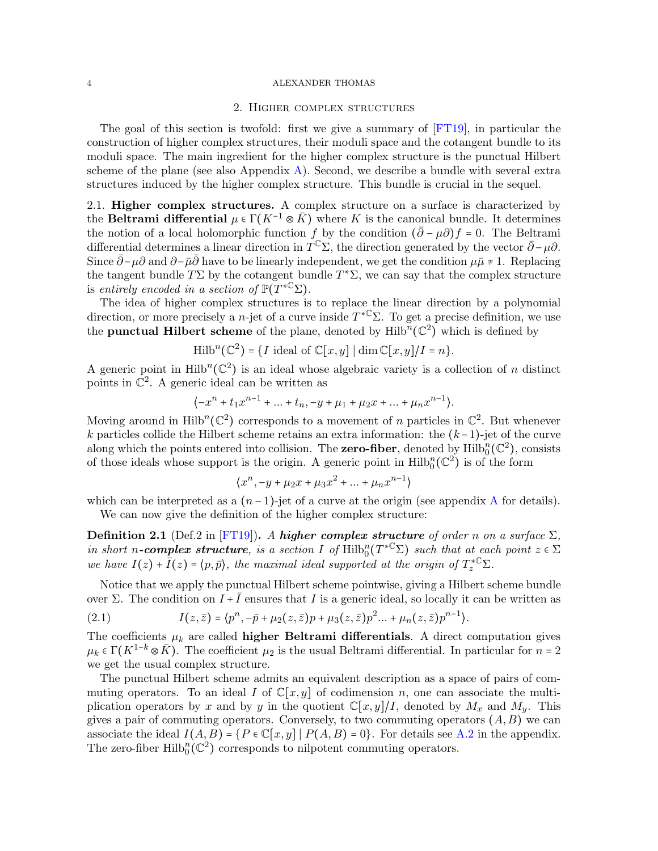#### 2. Higher complex structures

<span id="page-3-0"></span>The goal of this section is twofold: first we give a summary of [\[FT19\]](#page-30-0), in particular the construction of higher complex structures, their moduli space and the cotangent bundle to its moduli space. The main ingredient for the higher complex structure is the punctual Hilbert scheme of the plane (see also Appendix  $\bf{A}$ ). Second, we describe a bundle with several extra structures induced by the higher complex structure. This bundle is crucial in the sequel.

2.1. Higher complex structures. A complex structure on a surface is characterized by the Beltrami differential  $\mu \in \Gamma(K^{-1} \otimes \overline{K})$  where K is the canonical bundle. It determines the notion of a local holomorphic function f by the condition  $(\bar{\partial} - \mu \partial) f = 0$ . The Beltrami differential determines a linear direction in  $\overline{T}^{\mathbb{C}}\Sigma$ , the direction generated by the vector  $\overline{\partial}$  –  $\mu\partial$ . Since  $\bar{\partial}$ − $\mu\partial$  and  $\partial$ − $\bar{\mu}\bar{\partial}$  have to be linearly independent, we get the condition  $\mu\bar{\mu} \neq 1$ . Replacing the tangent bundle  $T\Sigma$  by the cotangent bundle  $T^*\Sigma$ , we can say that the complex structure is entirely encoded in a section of  $\mathbb{P}(T^{*\mathbb{C}}\Sigma)$ .

The idea of higher complex structures is to replace the linear direction by a polynomial direction, or more precisely a *n*-jet of a curve inside  $T^{*\mathbb{C}}\Sigma$ . To get a precise definition, we use the **punctual Hilbert scheme** of the plane, denoted by  $\text{Hilb}^n(\mathbb{C}^2)$  which is defined by

Hilb<sup>n</sup>(
$$
\mathbb{C}^2
$$
) = {*I* ideal of  $\mathbb{C}[x, y]$  | dim  $\mathbb{C}[x, y]/I = n$  }.

A generic point in  $\text{Hilb}^n(\mathbb{C}^2)$  is an ideal whose algebraic variety is a collection of n distinct points in  $\mathbb{C}^2$ . A generic ideal can be written as

$$
\{-x^{n}+t_{1}x^{n-1}+\ldots+t_{n},-y+\mu_{1}+\mu_{2}x+\ldots+\mu_{n}x^{n-1}\}.
$$

Moving around in  $\text{Hilb}^n(\mathbb{C}^2)$  corresponds to a movement of n particles in  $\mathbb{C}^2$ . But whenever k particles collide the Hilbert scheme retains an extra information: the  $(k-1)$ -jet of the curve along which the points entered into collision. The **zero-fiber**, denoted by  $\text{Hilb}_{0}^{n}(\mathbb{C}^{2})$ , consists of those ideals whose support is the origin. A generic point in  $\text{Hilb}_0^n(\mathbb{C}^2)$  is of the form

$$
\langle x^n, -y + \mu_2 x + \mu_3 x^2 + \dots + \mu_n x^{n-1} \rangle
$$

which can be interpreted as a  $(n-1)$ -jet of a curve at the origin (see appendix [A](#page-26-1) for details). We can now give the definition of the higher complex structure:

**Definition 2.1** (Def.2 in [\[FT19\]](#page-30-0)). A higher complex structure of order n on a surface  $\Sigma$ , in short n-complex structure, is a section I of  $\mathrm{Hilb}_0^n(T^{*C} \Sigma)$  such that at each point  $z \in \Sigma$ we have  $I(z) + \overline{I}(z) = \langle p, \overline{p} \rangle$ , the maximal ideal supported at the origin of  $T_z^{\ast}{}^{\mathbb{C}}\Sigma$ .

Notice that we apply the punctual Hilbert scheme pointwise, giving a Hilbert scheme bundle over Σ. The condition on  $I + \overline{I}$  ensures that I is a generic ideal, so locally it can be written as

(2.1) 
$$
I(z,\bar{z}) = \langle p^n, -\bar{p} + \mu_2(z,\bar{z})p + \mu_3(z,\bar{z})p^2... + \mu_n(z,\bar{z})p^{n-1} \rangle.
$$

The coefficients  $\mu_k$  are called **higher Beltrami differentials**. A direct computation gives  $\mu_k \in \Gamma(K^{1-k} \otimes \overline{K})$ . The coefficient  $\mu_2$  is the usual Beltrami differential. In particular for  $n = 2$ we get the usual complex structure.

The punctual Hilbert scheme admits an equivalent description as a space of pairs of commuting operators. To an ideal I of  $\mathbb{C}[x, y]$  of codimension n, one can associate the multiplication operators by x and by y in the quotient  $\mathbb{C}[x,y]/I$ , denoted by  $M_x$  and  $M_y$ . This gives a pair of commuting operators. Conversely, to two commuting operators  $(A, B)$  we can associate the ideal  $I(A, B) = \{P \in \mathbb{C}[x, y] \mid P(A, B) = 0\}$ . For details see [A.2](#page-27-0) in the appendix. The zero-fiber  $\text{Hilb}_{0}^{n}(\mathbb{C}^{2})$  corresponds to nilpotent commuting operators.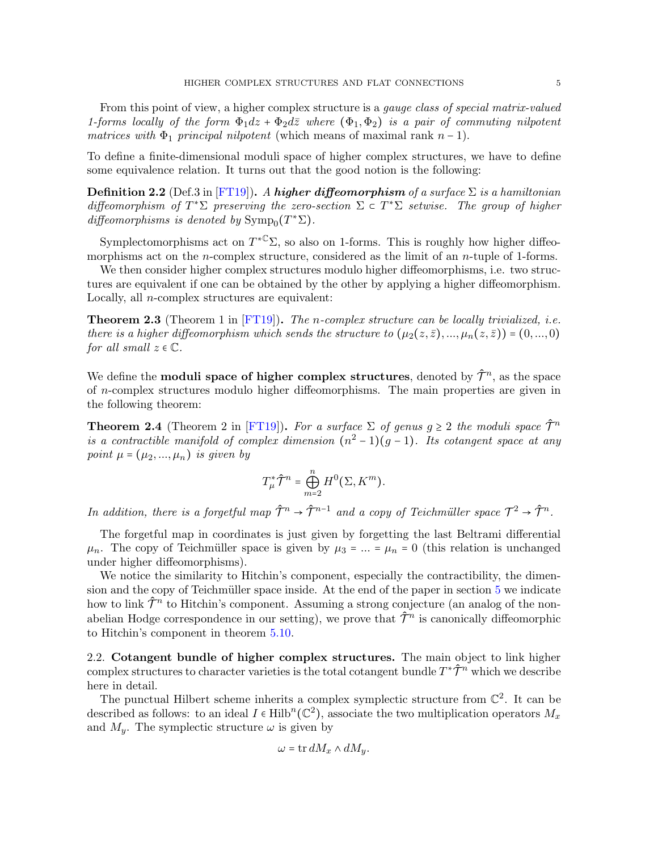From this point of view, a higher complex structure is a *gauge class of special matrix-valued* 1-forms locally of the form  $\Phi_1 dz + \Phi_2 d\overline{z}$  where  $(\Phi_1, \Phi_2)$  is a pair of commuting nilpotent matrices with  $\Phi_1$  principal nilpotent (which means of maximal rank  $n-1$ ).

To define a finite-dimensional moduli space of higher complex structures, we have to define some equivalence relation. It turns out that the good notion is the following:

**Definition 2.2** (Def.3 in [\[FT19\]](#page-30-0)). A higher diffeomorphism of a surface  $\Sigma$  is a hamiltonian diffeomorphism of  $T^*\Sigma$  preserving the zero-section  $\Sigma \subset T^*\Sigma$  setwise. The group of higher diffeomorphisms is denoted by  $\text{Symp}_0(T^*\Sigma)$ .

Symplectomorphisms act on  $T^{*C} \Sigma$ , so also on 1-forms. This is roughly how higher diffeomorphisms act on the *n*-complex structure, considered as the limit of an *n*-tuple of 1-forms.

We then consider higher complex structures modulo higher diffeomorphisms, i.e. two structures are equivalent if one can be obtained by the other by applying a higher diffeomorphism. Locally, all n-complex structures are equivalent:

**Theorem 2.3** (Theorem 1 in  $[FT19]$ ). The *n*-complex structure can be locally trivialized, i.e. there is a higher diffeomorphism which sends the structure to  $(\mu_2(z,\bar{z}),...,\mu_n(z,\bar{z})) = (0,...,0)$ for all small  $z \in \mathbb{C}$ .

We define the **moduli space of higher complex structures**, denoted by  $\hat{\mathcal{T}}^n$ , as the space of n-complex structures modulo higher diffeomorphisms. The main properties are given in the following theorem:

<span id="page-4-1"></span>**Theorem 2.4** (Theorem 2 in [\[FT19\]](#page-30-0)). For a surface  $\Sigma$  of genus  $g \geq 2$  the moduli space  $\hat{\mathcal{T}}^n$ is a contractible manifold of complex dimension  $(n^2-1)(g-1)$ . Its cotangent space at any point  $\mu = (\mu_2, ..., \mu_n)$  is given by

$$
T_\mu^* \hat{\mathcal{T}}^n = \bigoplus_{m=2}^n H^0(\Sigma, K^m).
$$

In addition, there is a forgetful map  $\hat{\mathcal{T}}^n \to \hat{\mathcal{T}}^{n-1}$  and a copy of Teichmüller space  $\mathcal{T}^2 \to \hat{\mathcal{T}}^n$ .

The forgetful map in coordinates is just given by forgetting the last Beltrami differential  $\mu_n$ . The copy of Teichmüller space is given by  $\mu_3 = ... = \mu_n = 0$  (this relation is unchanged under higher diffeomorphisms).

We notice the similarity to Hitchin's component, especially the contractibility, the dimension and the copy of Teichmüller space inside. At the end of the paper in section  $5$  we indicate how to link  $\hat{\mathcal{T}}^n$  to Hitchin's component. Assuming a strong conjecture (an analog of the nonabelian Hodge correspondence in our setting), we prove that  $\hat{\mathcal{T}}^n$  is canonically diffeomorphic to Hitchin's component in theorem [5.10.](#page-26-0)

<span id="page-4-0"></span>2.2. Cotangent bundle of higher complex structures. The main object to link higher complex structures to character varieties is the total cotangent bundle  $T^*\hat{\mathcal{T}}^n$  which we describe here in detail.

The punctual Hilbert scheme inherits a complex symplectic structure from  $\mathbb{C}^2$ . It can be described as follows: to an ideal  $I \in Hilb<sup>n</sup>(\mathbb{C}^2)$ , associate the two multiplication operators  $M_x$ and  $M_y$ . The symplectic structure  $\omega$  is given by

$$
\omega = \operatorname{tr} dM_x \wedge dM_y.
$$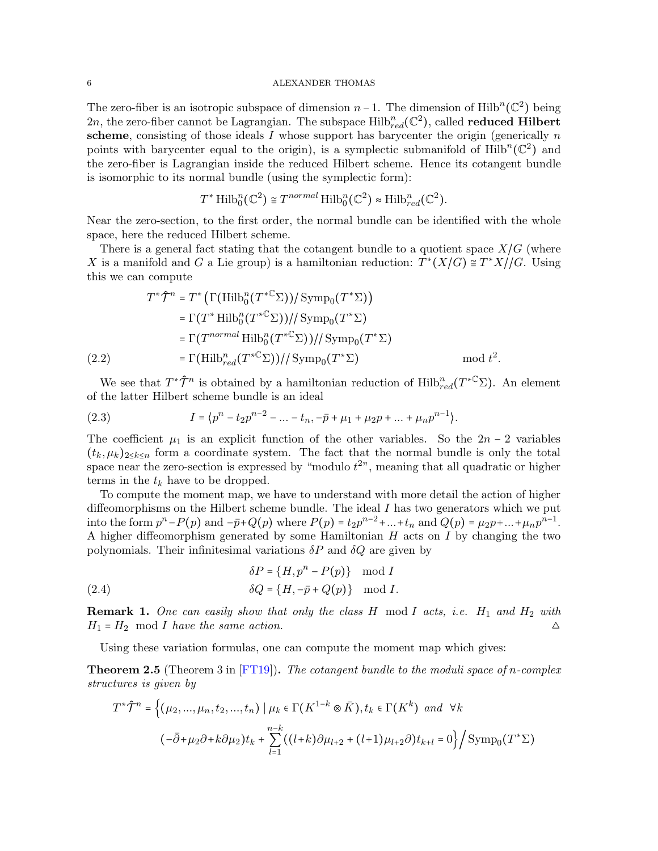The zero-fiber is an isotropic subspace of dimension  $n-1$ . The dimension of Hilb<sup>n</sup>( $\mathbb{C}^2$ ) being 2n, the zero-fiber cannot be Lagrangian. The subspace  $\mathrm{Hilb}_{red}^n(\mathbb{C}^2)$ , called **reduced Hilbert** scheme, consisting of those ideals  $I$  whose support has barycenter the origin (generically  $n$ points with barycenter equal to the origin), is a symplectic submanifold of  $\text{Hilb}^n(\mathbb{C}^2)$  and the zero-fiber is Lagrangian inside the reduced Hilbert scheme. Hence its cotangent bundle is isomorphic to its normal bundle (using the symplectic form):

$$
T^*\operatorname{Hilb}_0^n(\mathbb{C}^2) \cong T^{normal} \operatorname{Hilb}_0^n(\mathbb{C}^2) \approx \operatorname{Hilb}_{red}^n(\mathbb{C}^2).
$$

Near the zero-section, to the first order, the normal bundle can be identified with the whole space, here the reduced Hilbert scheme.

There is a general fact stating that the cotangent bundle to a quotient space  $X/G$  (where X is a manifold and G a Lie group) is a hamiltonian reduction:  $T^*(X/G) \cong T^*X/\mathcal{G}$ . Using this we can compute

$$
T^*\hat{\mathcal{T}}^n = T^* \left( \Gamma(\text{Hilb}_0^n(T^{*C} \Sigma)) / \text{Symp}_0(T^* \Sigma) \right)
$$
  
\n
$$
= \Gamma(T^* \text{Hilb}_0^n(T^{*C} \Sigma)) / / \text{Symp}_0(T^* \Sigma)
$$
  
\n
$$
= \Gamma(T^{normal} \text{Hilb}_0^n(T^{*C} \Sigma)) / / \text{Symp}_0(T^* \Sigma)
$$
  
\n
$$
= \Gamma(\text{Hilb}_{red}^n(T^{*C} \Sigma)) / / \text{Symp}_0(T^* \Sigma) \qquad \text{mod } t^2.
$$

<span id="page-5-0"></span>We see that  $T^*\hat{\mathcal{T}}^n$  is obtained by a hamiltonian reduction of  $\mathrm{Hilb}_{red}^n(T^{*\mathbb{C}}\Sigma)$ . An element of the latter Hilbert scheme bundle is an ideal

<span id="page-5-1"></span>(2.3) 
$$
I = \langle p^{n} - t_{2}p^{n-2} - ... - t_{n}, -\bar{p} + \mu_{1} + \mu_{2}p + ... + \mu_{n}p^{n-1}\rangle.
$$

The coefficient  $\mu_1$  is an explicit function of the other variables. So the  $2n-2$  variables  $(t_k, \mu_k)_{2 \leq k \leq n}$  form a coordinate system. The fact that the normal bundle is only the total space near the zero-section is expressed by "modulo  $t^{2}$ ", meaning that all quadratic or higher terms in the  $t_k$  have to be dropped.

To compute the moment map, we have to understand with more detail the action of higher diffeomorphisms on the Hilbert scheme bundle. The ideal I has two generators which we put into the form  $p^{n}-P(p)$  and  $-\bar{p}+Q(p)$  where  $P(p) = t_{2}p^{n-2} + ... + t_{n}$  and  $Q(p) = \mu_{2}p + ... + \mu_{n}p^{n-1}$ . A higher diffeomorphism generated by some Hamiltonian  $H$  acts on  $I$  by changing the two polynomials. Their infinitesimal variations  $\delta P$  and  $\delta Q$  are given by

(2.4) 
$$
\delta P = \{H, p^n - P(p)\} \mod I
$$

$$
\delta Q = \{H, -\bar{p} + Q(p)\} \mod I.
$$

**Remark 1.** One can easily show that only the class  $H$  mod  $I$  acts, i.e.  $H_1$  and  $H_2$  with  $H_1 = H_2 \mod I$  have the same action.

Using these variation formulas, one can compute the moment map which gives:

<span id="page-5-2"></span>**Theorem 2.5** (Theorem 3 in  $[FT19]$ ). The cotangent bundle to the moduli space of n-complex structures is given by

$$
T^*\hat{\mathcal{T}}^n = \left\{ (\mu_2, ..., \mu_n, t_2, ..., t_n) \mid \mu_k \in \Gamma(K^{1-k} \otimes \bar{K}), t_k \in \Gamma(K^k) \text{ and } \forall k \right\}
$$
  

$$
(-\bar{\partial} + \mu_2 \partial + k \partial \mu_2) t_k + \sum_{l=1}^{n-k} ((l+k)\partial \mu_{l+2} + (l+1)\mu_{l+2} \partial) t_{k+l} = 0 \right\} / \text{Symp}_0(T^*\Sigma)
$$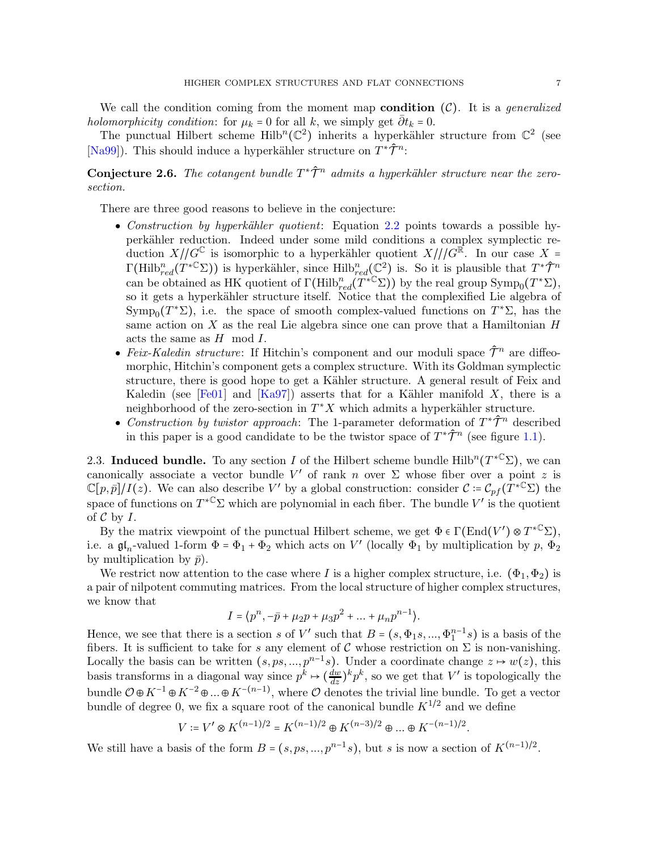We call the condition coming from the moment map **condition**  $(C)$ . It is a *generalized* holomorphicity condition: for  $\mu_k = 0$  for all k, we simply get  $\bar{\partial} t_k = 0$ .

The punctual Hilbert scheme  $\text{Hilb}^n(\mathbb{C}^2)$  inherits a hyperkähler structure from  $\mathbb{C}^2$  (see [\[Na99\]](#page-31-3)). This should induce a hyperkähler structure on  $T^*\hat{\mathcal{T}}^n$ :

<span id="page-6-0"></span>**Conjecture 2.6.** The cotangent bundle  $T^*\hat{\mathcal{T}}^n$  admits a hyperkähler structure near the zerosection.

There are three good reasons to believe in the conjecture:

- Construction by hyperkähler quotient: Equation [2.2](#page-5-0) points towards a possible hyperk¨ahler reduction. Indeed under some mild conditions a complex symplectic reduction  $X/\!\!/ G^{\mathbb{C}}$  is isomorphic to a hyperkähler quotient  $X/\!\!/ G^{\mathbb{R}}$ . In our case X =  $\Gamma(\mathrm{Hilb}_{red}^n(T^*\mathbb{C}\Sigma))$  is hyperkähler, since  $\mathrm{Hilb}_{red}^n(\mathbb{C}^2)$  is. So it is plausible that  $T^*\hat{\mathcal{T}}^n$ can be obtained as HK quotient of  $\Gamma(\mathrm{Hilb}_{red}^n(\widetilde{T}^{*{\mathbb C}}\Sigma))$  by the real group  $\mathrm{Symp}_0(T^*\Sigma)$ , so it gets a hyperkähler structure itself. Notice that the complexified Lie algebra of Symp<sub>0</sub>( $T^*\Sigma$ ), i.e. the space of smooth complex-valued functions on  $T^*\Sigma$ , has the same action on  $X$  as the real Lie algebra since one can prove that a Hamiltonian  $H$ acts the same as  $H \mod I$ .
- Feix-Kaledin structure: If Hitchin's component and our moduli space  $\hat{\mathcal{T}}^n$  are diffeomorphic, Hitchin's component gets a complex structure. With its Goldman symplectic structure, there is good hope to get a Kähler structure. A general result of Feix and Kaledin (see [\[Fe01\]](#page-30-1) and [\[Ka97\]](#page-31-4)) asserts that for a Kähler manifold X, there is a neighborhood of the zero-section in  $T^*X$  which admits a hyperkähler structure.
- Construction by twistor approach: The 1-parameter deformation of  $T^*\hat{\mathcal{T}}^n$  described in this paper is a good candidate to be the twistor space of  $T^* \hat{\mathcal{T}}^n$  (see figure [1.1\)](#page-1-0).

<span id="page-6-1"></span>2.3. Induced bundle. To any section I of the Hilbert scheme bundle  $\mathrm{Hilb}^n(T^{*}\mathbb{C}\Sigma)$ , we can canonically associate a vector bundle V' of rank n over  $\Sigma$  whose fiber over a point z is  $\mathbb{C}[p,\bar{p}]/I(z)$ . We can also describe V' by a global construction: consider  $\mathcal{C} \coloneqq \mathcal{C}_{pf}(\bar{T}^{*\mathbb{C}}\Sigma)$  the space of functions on  $T^{*C} \Sigma$  which are polynomial in each fiber. The bundle V' is the quotient of  $C$  by  $I$ .

By the matrix viewpoint of the punctual Hilbert scheme, we get  $\Phi \in \Gamma(\text{End}(V') \otimes T^{*C} \Sigma)$ , i.e. a  $\mathfrak{gl}_n$ -valued 1-form  $\Phi = \Phi_1 + \Phi_2$  which acts on  $V'$  (locally  $\Phi_1$  by multiplication by  $p, \Phi_2$ by multiplication by  $\bar{p}$ ).

We restrict now attention to the case where I is a higher complex structure, i.e.  $(\Phi_1, \Phi_2)$  is a pair of nilpotent commuting matrices. From the local structure of higher complex structures, we know that

$$
I = \langle p^n, -\bar{p} + \mu_2 p + \mu_3 p^2 + \dots + \mu_n p^{n-1} \rangle.
$$

Hence, we see that there is a section s of V' such that  $B = (s, \Phi_1s, ..., \Phi_1^{n-1}s)$  is a basis of the fibers. It is sufficient to take for s any element of C whose restriction on  $\Sigma$  is non-vanishing. Locally the basis can be written  $(s, ps, ..., p^{n-1}s)$ . Under a coordinate change  $z \mapsto w(z)$ , this basis transforms in a diagonal way since  $p^k \mapsto (\frac{dw}{dz})^k p^k$ , so we get that V' is topologically the bundle  $\mathcal{O} \oplus K^{-1} \oplus K^{-2} \oplus ... \oplus K^{-(n-1)}$ , where  $\mathcal{O}$  denotes the trivial line bundle. To get a vector bundle of degree 0, we fix a square root of the canonical bundle  $K^{1/2}$  and we define

$$
V \coloneqq V' \otimes K^{(n-1)/2} = K^{(n-1)/2} \oplus K^{(n-3)/2} \oplus \ldots \oplus K^{-(n-1)/2}.
$$

We still have a basis of the form  $B = (s, ps, ..., p^{n-1}s)$ , but s is now a section of  $K^{(n-1)/2}$ .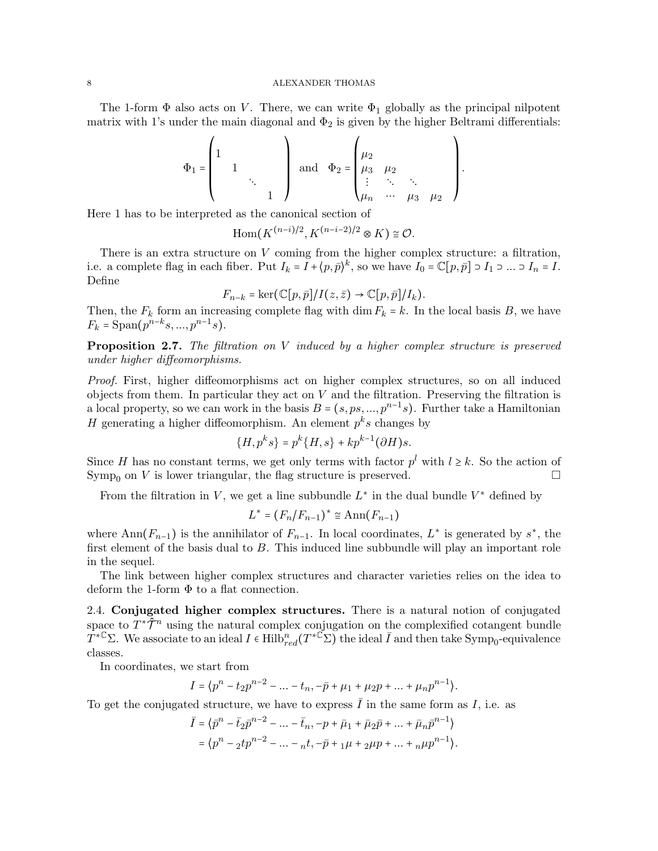The 1-form  $\Phi$  also acts on V. There, we can write  $\Phi_1$  globally as the principal nilpotent matrix with 1's under the main diagonal and  $\Phi_2$  is given by the higher Beltrami differentials:

$$
\Phi_1 = \begin{pmatrix} 1 & & & \\ 1 & & & \\ & 1 & & \\ & & \ddots & \\ & & & 1 \end{pmatrix} \text{ and } \Phi_2 = \begin{pmatrix} \mu_2 & & & \\ \mu_3 & \mu_2 & & \\ \vdots & \ddots & \ddots & \\ \mu_n & \cdots & \mu_3 & \mu_2 \end{pmatrix}.
$$

Here 1 has to be interpreted as the canonical section of

$$
\mathrm{Hom}(K^{(n-i)/2},K^{(n-i-2)/2}\otimes K)\cong \mathcal{O}.
$$

There is an extra structure on V coming from the higher complex structure: a filtration, i.e. a complete flag in each fiber. Put  $I_k = I + \langle p, \bar{p} \rangle^k$ , so we have  $I_0 = \mathbb{C}[p, \bar{p}] \supset I_1 \supset ... \supset I_n = I$ . Define

$$
F_{n-k} = \ker(\mathbb{C}[p,\bar{p}]/I(z,\bar{z}) \to \mathbb{C}[p,\bar{p}]/I_k).
$$

Then, the  $F_k$  form an increasing complete flag with dim  $F_k = k$ . In the local basis B, we have  $F_k = \text{Span}(p^{n-k}s, ..., p^{n-1}s).$ 

Proposition 2.7. The filtration on V induced by a higher complex structure is preserved under higher diffeomorphisms.

Proof. First, higher diffeomorphisms act on higher complex structures, so on all induced objects from them. In particular they act on  $V$  and the filtration. Preserving the filtration is a local property, so we can work in the basis  $B = (s, ps, ..., p^{n-1}s)$ . Further take a Hamiltonian H generating a higher diffeomorphism. An element  $p<sup>k</sup>s$  changes by

$$
\{H,p^ks\}=p^k\{H,s\}+kp^{k-1}(\partial H)s.
$$

Since H has no constant terms, we get only terms with factor  $p<sup>l</sup>$  with  $l \geq k$ . So the action of  $\text{Symp}_0$  on V is lower triangular, the flag structure is preserved.

From the filtration in V, we get a line subbundle  $L^*$  in the dual bundle  $V^*$  defined by

$$
L^* = (F_n/F_{n-1})^* \cong \text{Ann}(F_{n-1})
$$

where Ann $(F_{n-1})$  is the annihilator of  $F_{n-1}$ . In local coordinates,  $L^*$  is generated by  $s^*$ , the first element of the basis dual to B. This induced line subbundle will play an important role in the sequel.

The link between higher complex structures and character varieties relies on the idea to deform the 1-form  $\Phi$  to a flat connection.

<span id="page-7-0"></span>2.4. Conjugated higher complex structures. There is a natural notion of conjugated space to  $T^*\tilde{\mathcal{T}}^n$  using the natural complex conjugation on the complexified cotangent bundle  $T^{*C}\Sigma$ . We associate to an ideal  $I \in \text{Hilb}_{red}^n(T^{*\mathbb{C}}\Sigma)$  the ideal  $\overline{I}$  and then take Symp<sub>0</sub>-equivalence classes.

In coordinates, we start from

$$
I = \langle p^{n} - t_{2} p^{n-2} - \dots - t_{n}, -\bar{p} + \mu_{1} + \mu_{2} p + \dots + \mu_{n} p^{n-1} \rangle.
$$

To get the conjugated structure, we have to express  $\bar{I}$  in the same form as I, i.e. as

$$
\bar{I} = \langle \bar{p}^n - \bar{t}_2 \bar{p}^{n-2} - \dots - \bar{t}_n, -p + \bar{\mu}_1 + \bar{\mu}_2 \bar{p} + \dots + \bar{\mu}_n \bar{p}^{n-1} \rangle
$$
  
=  $\langle p^n - ztp^{n-2} - \dots - n, -p + p + \mu + p + \dots + p + p^{n-1} \rangle$ .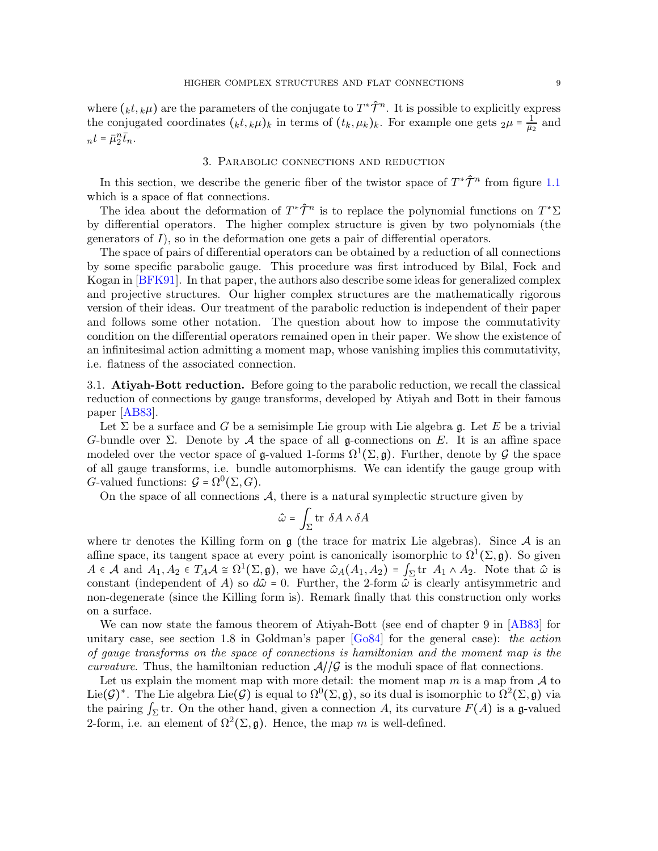where  $(_{k}t,_{k}\mu)$  are the parameters of the conjugate to  $T^{\ast}\hat{\mathcal{T}}^{n}$ . It is possible to explicitly express the conjugated coordinates  $(kt, k\mu)$ <sub>k</sub> in terms of  $(t_k, \mu_k)_k$ . For example one gets  $2\mu = \frac{1}{\bar{u}^2}$  $\frac{1}{\bar{\mu}_2}$  and  $nt = \bar{\mu}_2^n \bar{t}_n.$ 

#### 3. Parabolic connections and reduction

<span id="page-8-0"></span>In this section, we describe the generic fiber of the twistor space of  $T^*\hat{\mathcal{T}}^n$  from figure [1.1](#page-1-0) which is a space of flat connections.

The idea about the deformation of  $T^*\hat{\mathcal{T}}^n$  is to replace the polynomial functions on  $T^*\Sigma$ by differential operators. The higher complex structure is given by two polynomials (the generators of I), so in the deformation one gets a pair of differential operators.

The space of pairs of differential operators can be obtained by a reduction of all connections by some specific parabolic gauge. This procedure was first introduced by Bilal, Fock and Kogan in [\[BFK91\]](#page-30-2). In that paper, the authors also describe some ideas for generalized complex and projective structures. Our higher complex structures are the mathematically rigorous version of their ideas. Our treatment of the parabolic reduction is independent of their paper and follows some other notation. The question about how to impose the commutativity condition on the differential operators remained open in their paper. We show the existence of an infinitesimal action admitting a moment map, whose vanishing implies this commutativity, i.e. flatness of the associated connection.

3.1. Atiyah-Bott reduction. Before going to the parabolic reduction, we recall the classical reduction of connections by gauge transforms, developed by Atiyah and Bott in their famous paper [\[AB83\]](#page-30-3).

Let  $\Sigma$  be a surface and G be a semisimple Lie group with Lie algebra g. Let E be a trivial G-bundle over  $\Sigma$ . Denote by A the space of all g-connections on E. It is an affine space modeled over the vector space of  $\mathfrak{g}\text{-valued }1\text{-forms }\Omega^1(\Sigma,\mathfrak{g})$ . Further, denote by  $\mathcal G$  the space of all gauge transforms, i.e. bundle automorphisms. We can identify the gauge group with G-valued functions:  $G = \Omega^0(\Sigma, G)$ .

On the space of all connections  $A$ , there is a natural symplectic structure given by

$$
\hat{\omega} = \int_{\Sigma} \text{tr } \delta A \wedge \delta A
$$

where tr denotes the Killing form on  $\mathfrak g$  (the trace for matrix Lie algebras). Since A is an affine space, its tangent space at every point is canonically isomorphic to  $\Omega^1(\Sigma, \mathfrak{g})$ . So given  $A \in \mathcal{A}$  and  $A_1, A_2 \in T_A \mathcal{A} \cong \Omega^1(\Sigma, \mathfrak{g})$ , we have  $\hat{\omega}_A(A_1, A_2) = \int_{\Sigma} \text{tr } A_1 \wedge A_2$ . Note that  $\hat{\omega}$  is constant (independent of A) so  $d\hat{\omega} = 0$ . Further, the 2-form  $\hat{\omega}$  is clearly antisymmetric and non-degenerate (since the Killing form is). Remark finally that this construction only works on a surface.

We can now state the famous theorem of Atiyah-Bott (see end of chapter 9 in [\[AB83\]](#page-30-3) for unitary case, see section 1.8 in Goldman's paper  $[G084]$  for the general case): the action of gauge transforms on the space of connections is hamiltonian and the moment map is the *curvature.* Thus, the hamiltonian reduction  $A/\mathcal{G}$  is the moduli space of flat connections.

Let us explain the moment map with more detail: the moment map m is a map from  $\mathcal A$  to Lie( $\mathcal{G})^*$ . The Lie algebra Lie( $\mathcal{G})$  is equal to  $\Omega^0(\Sigma, \mathfrak{g})$ , so its dual is isomorphic to  $\Omega^2(\Sigma, \mathfrak{g})$  via the pairing  $\int_{\Sigma}$ tr. On the other hand, given a connection A, its curvature  $F(A)$  is a g-valued 2-form, i.e. an element of  $\Omega^2(\Sigma, \mathfrak{g})$ . Hence, the map m is well-defined.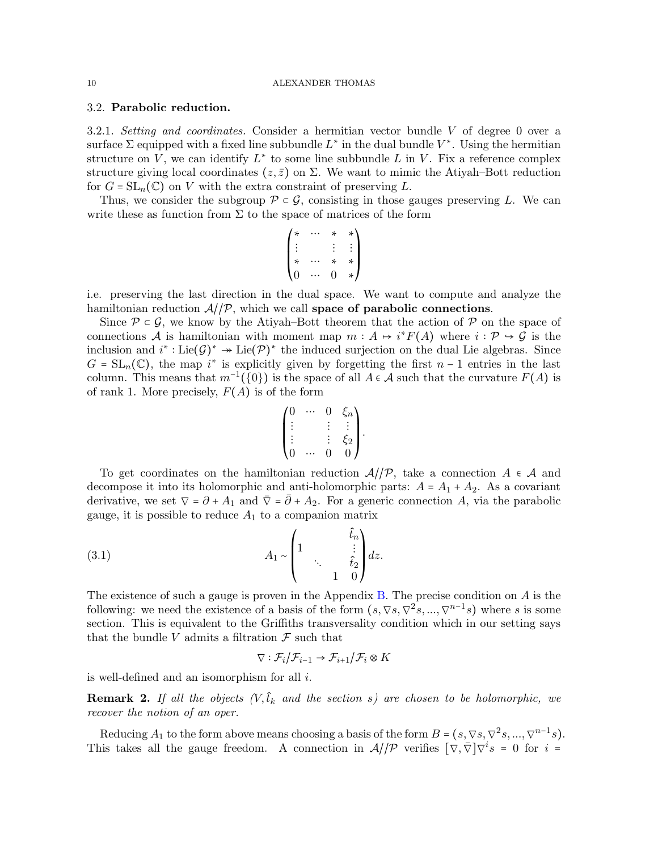# <span id="page-9-1"></span>3.2. Parabolic reduction.

3.2.1. Setting and coordinates. Consider a hermitian vector bundle  $V$  of degree 0 over a surface  $\Sigma$  equipped with a fixed line subbundle  $L^*$  in the dual bundle  $V^*$ . Using the hermitian structure on V, we can identify  $L^*$  to some line subbundle L in V. Fix a reference complex structure giving local coordinates  $(z, \bar{z})$  on  $\Sigma$ . We want to mimic the Atiyah–Bott reduction for  $G = SL_n(\mathbb{C})$  on V with the extra constraint of preserving L.

Thus, we consider the subgroup  $\mathcal{P} \subset \mathcal{G}$ , consisting in those gauges preserving L. We can write these as function from  $\Sigma$  to the space of matrices of the form

$$
\begin{pmatrix} * & \cdots & * & * \\ \vdots & & \vdots & \vdots \\ * & \cdots & * & * \\ 0 & \cdots & 0 & * \end{pmatrix}
$$

i.e. preserving the last direction in the dual space. We want to compute and analyze the hamiltonian reduction  $A/\mathcal{P}$ , which we call space of parabolic connections.

Since  $\mathcal{P} \subset \mathcal{G}$ , we know by the Atiyah–Bott theorem that the action of  $\mathcal{P}$  on the space of connections A is hamiltonian with moment map  $m : A \mapsto i^*F(A)$  where  $i : \mathcal{P} \hookrightarrow \mathcal{G}$  is the inclusion and  $i^* : \text{Lie}(\mathcal{G})^* \to \text{Lie}(\mathcal{P})^*$  the induced surjection on the dual Lie algebras. Since  $G = SL_n(\mathbb{C})$ , the map i<sup>\*</sup> is explicitly given by forgetting the first  $n-1$  entries in the last column. This means that  $m^{-1}(\{0\})$  is the space of all  $A \in \mathcal{A}$  such that the curvature  $F(A)$  is of rank 1. More precisely,  $F(A)$  is of the form

$$
\begin{pmatrix} 0 & \cdots & 0 & \xi_n \\ \vdots & & \vdots & \vdots \\ \vdots & & \vdots & \xi_2 \\ 0 & \cdots & 0 & 0 \end{pmatrix}.
$$

To get coordinates on the hamiltonian reduction  $\mathcal{A}/\mathcal{P}$ , take a connection  $A \in \mathcal{A}$  and decompose it into its holomorphic and anti-holomorphic parts:  $A = A_1 + A_2$ . As a covariant derivative, we set  $\nabla = \partial + A_1$  and  $\overline{\nabla} = \overline{\partial} + A_2$ . For a generic connection A, via the parabolic gauge, it is possible to reduce  $A_1$  to a companion matrix

(3.1) 
$$
A_1 \sim \begin{pmatrix} 1 & \hat{t}_n \\ 1 & \vdots \\ 1 & 0 \end{pmatrix} dz.
$$

The existence of such a gauge is proven in the Appendix [B.](#page-28-0) The precise condition on A is the following: we need the existence of a basis of the form  $(s, \nabla s, \nabla^2 s, ..., \nabla^{n-1} s)$  where s is some section. This is equivalent to the Griffiths transversality condition which in our setting says that the bundle V admits a filtration  $\mathcal F$  such that

<span id="page-9-0"></span>
$$
\nabla: \mathcal{F}_i/\mathcal{F}_{i-1} \to \mathcal{F}_{i+1}/\mathcal{F}_i \otimes K
$$

is well-defined and an isomorphism for all i.

**Remark 2.** If all the objects  $(V, \hat{t}_k$  and the section s) are chosen to be holomorphic, we recover the notion of an oper.

Reducing  $A_1$  to the form above means choosing a basis of the form  $B = (s, \nabla s, \nabla^2 s, ..., \nabla^{n-1} s)$ . This takes all the gauge freedom. A connection in  $\mathcal{A}/\mathcal{P}$  verifies  $[\nabla,\overline{\nabla}]\nabla^i s = 0$  for  $i =$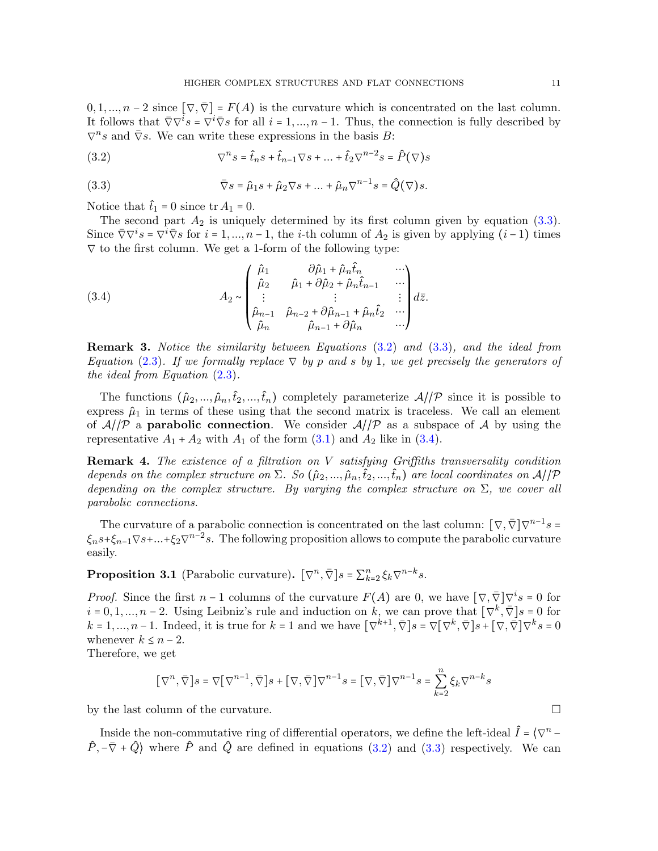$0, 1, ..., n-2$  since  $[\nabla, \overline{\nabla}] = F(A)$  is the curvature which is concentrated on the last column. It follows that  $\bar{\nabla}\nabla^i s = \nabla^i \bar{\nabla} s$  for all  $i = 1, ..., n - 1$ . Thus, the connection is fully described by  $\nabla^n s$  and  $\overline{\nabla}s$ . We can write these expressions in the basis B:

<span id="page-10-1"></span>(3.2) 
$$
\nabla^n s = \hat{t}_n s + \hat{t}_{n-1} \nabla s + \dots + \hat{t}_2 \nabla^{n-2} s = \hat{P}(\nabla) s
$$

<span id="page-10-0"></span>(3.3) 
$$
\overline{\nabla}s = \hat{\mu}_1s + \hat{\mu}_2 \nabla s + \dots + \hat{\mu}_n \nabla^{n-1}s = \hat{Q}(\nabla)s.
$$

Notice that  $\hat{t}_1 = 0$  since tr  $A_1 = 0$ .

The second part  $A_2$  is uniquely determined by its first column given by equation [\(3.3\)](#page-10-0). Since  $\overline{\nabla} \nabla^i s = \nabla^i \overline{\nabla} s$  for  $i = 1, ..., n - 1$ , the *i*-th column of  $A_2$  is given by applying  $(i-1)$  times  $\nabla$  to the first column. We get a 1-form of the following type:

<span id="page-10-2"></span>(3.4) 
$$
A_2 \sim \begin{pmatrix} \hat{\mu}_1 & \partial \hat{\mu}_1 + \hat{\mu}_n \hat{t}_n & \cdots \\ \hat{\mu}_2 & \hat{\mu}_1 + \partial \hat{\mu}_2 + \hat{\mu}_n \hat{t}_{n-1} & \cdots \\ \vdots & \vdots & \vdots \\ \hat{\mu}_{n-1} & \hat{\mu}_{n-2} + \partial \hat{\mu}_{n-1} + \hat{\mu}_n \hat{t}_2 & \cdots \\ \hat{\mu}_n & \hat{\mu}_{n-1} + \partial \hat{\mu}_n & \cdots \end{pmatrix} d\bar{z}.
$$

Remark 3. Notice the similarity between Equations [\(3.2\)](#page-10-1) and [\(3.3\)](#page-10-0), and the ideal from Equation [\(2.3\)](#page-5-1). If we formally replace  $\nabla$  by p and s by 1, we get precisely the generators of the ideal from Equation  $(2.3)$ .

The functions  $(\hat{\mu}_2, ..., \hat{\mu}_n, \hat{t}_2, ..., \hat{t}_n)$  completely parameterize  $\mathcal{A}/\mathcal{P}$  since it is possible to express  $\hat{\mu}_1$  in terms of these using that the second matrix is traceless. We call an element of  $A/\mathcal{P}$  a **parabolic connection**. We consider  $A/\mathcal{P}$  as a subspace of A by using the representative  $A_1 + A_2$  with  $A_1$  of the form  $(3.1)$  and  $A_2$  like in  $(3.4)$ .

Remark 4. The existence of a filtration on V satisfying Griffiths transversality condition depends on the complex structure on  $\Sigma$ . So  $(\hat{\mu}_2,...,\hat{\mu}_n,\hat{t}_2,...,\hat{t}_n)$  are local coordinates on  $\mathcal{A}/\mathcal{P}$ depending on the complex structure. By varying the complex structure on  $\Sigma$ , we cover all parabolic connections.

The curvature of a parabolic connection is concentrated on the last column:  $[\nabla, \overline{\nabla}] \nabla^{n-1} s =$  $\xi_n s + \xi_{n-1} \nabla s + ... + \xi_2 \nabla^{n-2} s$ . The following proposition allows to compute the parabolic curvature easily.

<span id="page-10-3"></span>**Proposition 3.1** (Parabolic curvature).  $[\nabla^n, \overline{\nabla}]s = \sum_{k=2}^n \xi_k \nabla^{n-k}s$ .

*Proof.* Since the first  $n-1$  columns of the curvature  $F(A)$  are 0, we have  $[\nabla, \overline{\nabla}]\nabla^i s = 0$  for  $i = 0, 1, ..., n-2$ . Using Leibniz's rule and induction on k, we can prove that  $[\nabla^k, \overline{\nabla}]s = 0$  for  $k = 1, ..., n-1$ . Indeed, it is true for  $k = 1$  and we have  $\left[\nabla^{k+1}, \overline{\nabla}\right]s = \nabla\left[\nabla^k, \overline{\nabla}\right]s + \left[\nabla, \overline{\nabla}\right]\nabla^k s = 0$ whenever  $k \leq n-2$ .

Therefore, we get

$$
\big[\,\nabla^n, \bar{\nabla}\,\big]s = \nabla\big[\,\nabla^{n-1}, \bar{\nabla}\,\big]s + \big[\,\nabla, \bar{\nabla}\,\big]\nabla^{n-1}s = \big[\,\nabla, \bar{\nabla}\,\big]\nabla^{n-1}s = \sum_{k=2}^n \xi_k \nabla^{n-k}s
$$

by the last column of the curvature.

Inside the non-commutative ring of differential operators, we define the left-ideal  $\hat{I} = \langle \nabla^n \hat{P}, -\bar{\nabla} + \hat{Q}$  where  $\hat{P}$  and  $\hat{Q}$  are defined in equations [\(3.2\)](#page-10-1) and [\(3.3\)](#page-10-0) respectively. We can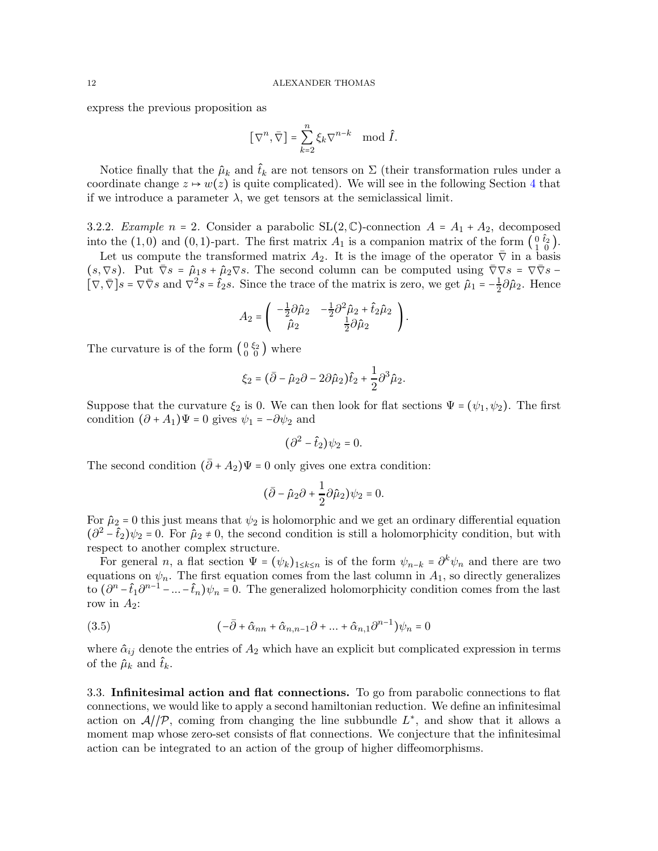express the previous proposition as

$$
\left[\nabla^n,\bar{\nabla}\right] = \sum_{k=2}^n \xi_k \nabla^{n-k} \mod \hat{I}.
$$

Notice finally that the  $\hat{\mu}_k$  and  $\hat{t}_k$  are not tensors on  $\Sigma$  (their transformation rules under a coordinate change  $z \mapsto w(z)$  is quite complicated). We will see in the following Section [4](#page-13-0) that if we introduce a parameter  $\lambda$ , we get tensors at the semiclassical limit.

3.2.2. Example  $n = 2$ . Consider a parabolic  $SL(2, \mathbb{C})$ -connection  $A = A_1 + A_2$ , decomposed into the (1,0) and (0,1)-part. The first matrix  $A_1$  is a companion matrix of the form  $\begin{pmatrix} 0 & \hat{t}_2 \\ 1 & 0 \end{pmatrix}$ .

Let us compute the transformed matrix  $A_2$ . It is the image of the operator  $\overline{\nabla}$  in a basis  $(s,\nabla s)$ . Put  $\overline{\nabla}s = \hat{\mu}_1s + \hat{\mu}_2\nabla s$ . The second column can be computed using  $\overline{\nabla}\nabla s = \nabla\overline{\nabla}s$  $\left[\nabla,\overline{\nabla}\right]s = \nabla\overline{\nabla}s$  and  $\overline{\nabla^2s} = \hat{t}_2s$ . Since the trace of the matrix is zero, we get  $\hat{\mu}_1 = -\frac{1}{2}$  $\frac{1}{2}\partial \hat{\mu}_2$ . Hence

$$
A_2 = \begin{pmatrix} -\frac{1}{2}\partial \hat{\mu}_2 & -\frac{1}{2}\partial^2 \hat{\mu}_2 + \hat{t}_2 \hat{\mu}_2 \\ \hat{\mu}_2 & \frac{1}{2}\partial \hat{\mu}_2 \end{pmatrix}.
$$

The curvature is of the form  $\begin{pmatrix} 0 & \xi_2 \\ 0 & 0 \end{pmatrix}$  where

$$
\xi_2 = (\bar{\partial} - \hat{\mu}_2 \partial - 2\partial \hat{\mu}_2) \hat{t}_2 + \frac{1}{2} \partial^3 \hat{\mu}_2.
$$

Suppose that the curvature  $\xi_2$  is 0. We can then look for flat sections  $\Psi = (\psi_1, \psi_2)$ . The first condition  $(\partial + A_1)\Psi = 0$  gives  $\psi_1 = -\partial \psi_2$  and

$$
(\partial^2 - \hat{t}_2)\psi_2 = 0.
$$

The second condition  $(\bar{\partial} + A_2)\Psi = 0$  only gives one extra condition:

$$
(\bar{\partial} - \hat{\mu}_2 \partial + \frac{1}{2} \partial \hat{\mu}_2) \psi_2 = 0.
$$

For  $\hat{\mu}_2 = 0$  this just means that  $\psi_2$  is holomorphic and we get an ordinary differential equation  $(\frac{\partial^2}{\partial t^2} - \hat{t}_2)\psi_2 = 0$ . For  $\hat{\mu}_2 \neq 0$ , the second condition is still a holomorphicity condition, but with respect to another complex structure.

For general n, a flat section  $\Psi = (\psi_k)_{1 \leq k \leq n}$  is of the form  $\psi_{n-k} = \partial^k \psi_n$  and there are two equations on  $\psi_n$ . The first equation comes from the last column in  $A_1$ , so directly generalizes to  $(\partial^n - \hat{t}_1 \partial^{n-1} - ... - \hat{t}_n)\psi_n = 0$ . The generalized holomorphicity condition comes from the last row in  $A_2$ :

<span id="page-11-1"></span>(3.5) 
$$
(-\bar{\partial} + \hat{\alpha}_{nn} + \hat{\alpha}_{n,n-1}\partial + ... + \hat{\alpha}_{n,1}\partial^{n-1})\psi_n = 0
$$

where  $\hat{\alpha}_{ij}$  denote the entries of  $A_2$  which have an explicit but complicated expression in terms of the  $\hat{\mu}_k$  and  $\hat{t}_k$ .

<span id="page-11-0"></span>3.3. Infinitesimal action and flat connections. To go from parabolic connections to flat connections, we would like to apply a second hamiltonian reduction. We define an infinitesimal action on  $\mathcal{A}/\mathcal{P}$ , coming from changing the line subbundle  $L^*$ , and show that it allows a moment map whose zero-set consists of flat connections. We conjecture that the infinitesimal action can be integrated to an action of the group of higher diffeomorphisms.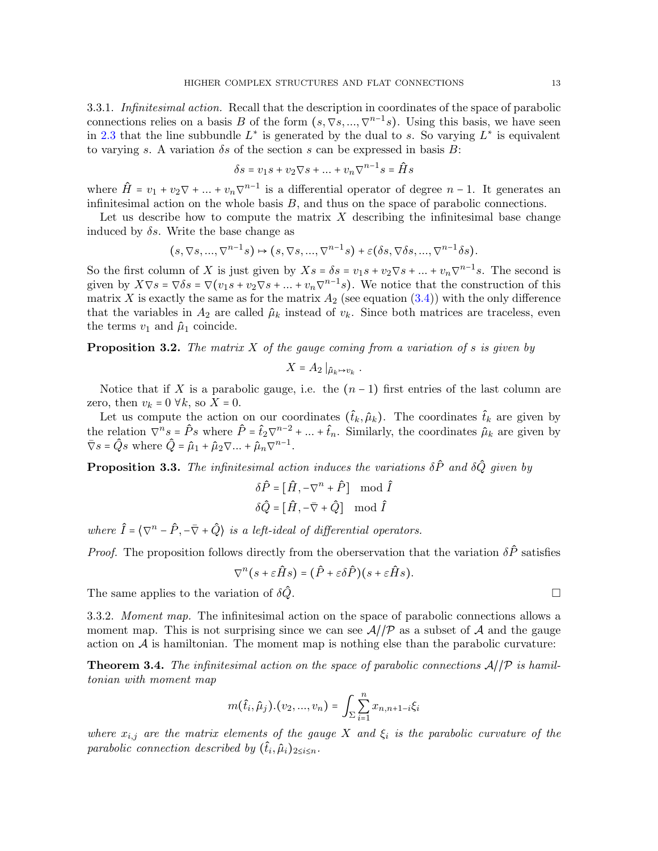3.3.1. Infinitesimal action. Recall that the description in coordinates of the space of parabolic connections relies on a basis B of the form  $(s, \nabla s, ..., \nabla^{n-1}s)$ . Using this basis, we have seen in [2.3](#page-6-1) that the line subbundle  $L^*$  is generated by the dual to s. So varying  $L^*$  is equivalent to varying s. A variation  $\delta s$  of the section s can be expressed in basis B:

$$
\delta s = v_1 s + v_2 \nabla s + \dots + v_n \nabla^{n-1} s = \hat{H} s
$$

where  $\hat{H} = v_1 + v_2 \nabla + ... + v_n \nabla^{n-1}$  is a differential operator of degree  $n-1$ . It generates an infinitesimal action on the whole basis  $B$ , and thus on the space of parabolic connections.

Let us describe how to compute the matrix  $X$  describing the infinitesimal base change induced by  $\delta s$ . Write the base change as

$$
(s,\nabla s,...,\nabla^{n-1}s) \mapsto (s,\nabla s,...,\nabla^{n-1}s) + \varepsilon (\delta s,\nabla \delta s,...,\nabla^{n-1}\delta s).
$$

So the first column of X is just given by  $X_s = \delta s = v_1 s + v_2 \nabla s + ... + v_n \nabla^{n-1} s$ . The second is given by  $X\nabla s = \nabla \delta s = \nabla (v_1s + v_2 \nabla s + ... + v_n \nabla^{n-1}s)$ . We notice that the construction of this matrix X is exactly the same as for the matrix  $A_2$  (see equation [\(3.4\)](#page-10-2)) with the only difference that the variables in  $A_2$  are called  $\hat{\mu}_k$  instead of  $v_k$ . Since both matrices are traceless, even the terms  $v_1$  and  $\hat{\mu}_1$  coincide.

**Proposition 3.2.** The matrix X of the gauge coming from a variation of s is given by

$$
X = A_2 \mid_{\hat{\mu}_k \mapsto v_k}.
$$

Notice that if X is a parabolic gauge, i.e. the  $(n-1)$  first entries of the last column are zero, then  $v_k = 0 \forall k$ , so  $X = 0$ .

Let us compute the action on our coordinates  $(\hat{t}_k, \hat{\mu}_k)$ . The coordinates  $\hat{t}_k$  are given by the relation  $\nabla^n s = \hat{P} s$  where  $\hat{P} = \hat{t}_2 \nabla^{n-2} + ... + \hat{t}_n$ . Similarly, the coordinates  $\hat{\mu}_k$  are given by  $\bar{\nabla}s = \hat{Q}s$  where  $\hat{Q} = \hat{\mu}_1 + \hat{\mu}_2 \nabla \dots + \hat{\mu}_n \nabla^{n-1}$ .

<span id="page-12-1"></span>**Proposition 3.3.** The infinitesimal action induces the variations  $\delta \hat{P}$  and  $\delta \hat{Q}$  given by

$$
\delta \hat{P} = [\hat{H}, -\nabla^n + \hat{P}] \mod \hat{I}
$$

$$
\delta \hat{Q} = [\hat{H}, -\bar{\nabla} + \hat{Q}] \mod \hat{I}
$$

where  $\hat{I} = \langle \nabla^n - \hat{P}, -\overline{\nabla} + \hat{Q} \rangle$  is a left-ideal of differential operators.

*Proof.* The proposition follows directly from the oberservation that the variation  $\delta \hat{P}$  satisfies

$$
\nabla^{n}(s+\varepsilon \hat{H}s) = (\hat{P}+\varepsilon \delta \hat{P})(s+\varepsilon \hat{H}s).
$$

The same applies to the variation of  $\delta \hat{Q}$ .

3.3.2. Moment map. The infinitesimal action on the space of parabolic connections allows a moment map. This is not surprising since we can see  $\mathcal{A}/\mathcal{P}$  as a subset of  $\mathcal{A}$  and the gauge action on  $A$  is hamiltonian. The moment map is nothing else than the parabolic curvature:

<span id="page-12-0"></span>**Theorem 3.4.** The infinitesimal action on the space of parabolic connections  $A/\mathcal{P}$  is hamiltonian with moment map

$$
m(\hat{t}_i, \hat{\mu}_j). (v_2, ..., v_n) = \int_{\Sigma} \sum_{i=1}^n x_{n, n+1-i} \xi_i
$$

where  $x_{i,j}$  are the matrix elements of the gauge X and  $\xi_i$  is the parabolic curvature of the parabolic connection described by  $(\hat{t}_i, \hat{\mu}_i)_{2 \leq i \leq n}$ .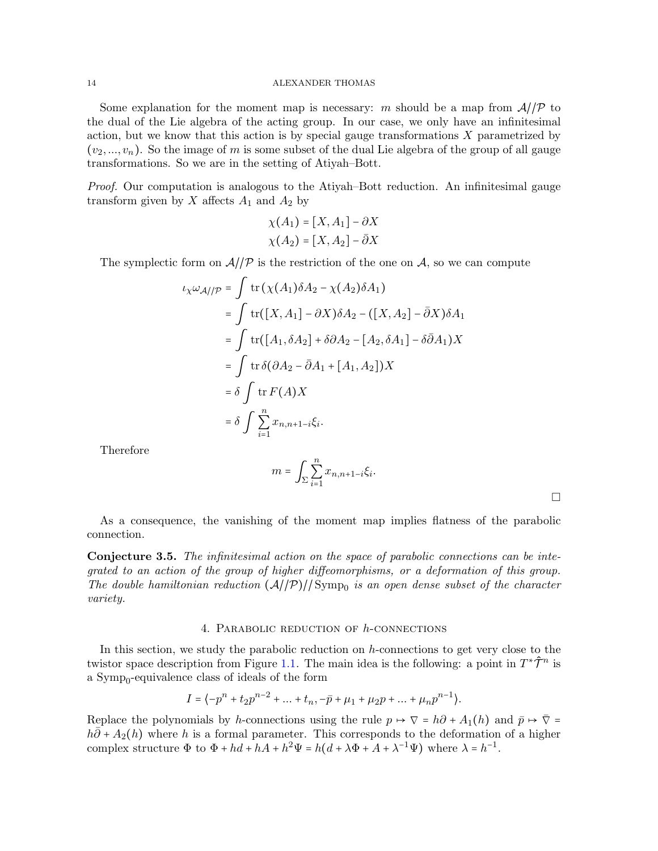Some explanation for the moment map is necessary: m should be a map from  $A/\mathcal{P}$  to the dual of the Lie algebra of the acting group. In our case, we only have an infinitesimal action, but we know that this action is by special gauge transformations  $X$  parametrized by  $(v_2, ..., v_n)$ . So the image of m is some subset of the dual Lie algebra of the group of all gauge transformations. So we are in the setting of Atiyah–Bott.

Proof. Our computation is analogous to the Atiyah–Bott reduction. An infinitesimal gauge transform given by X affects  $A_1$  and  $A_2$  by

$$
\chi(A_1) = [X, A_1] - \partial X
$$

$$
\chi(A_2) = [X, A_2] - \overline{\partial}X
$$

The symplectic form on  $\mathcal{A}/\mathcal{P}$  is the restriction of the one on  $\mathcal{A}$ , so we can compute

$$
\iota_X \omega_{\mathcal{A}/\mathcal{P}} = \int \operatorname{tr} (\chi(A_1) \delta A_2 - \chi(A_2) \delta A_1)
$$
  
\n
$$
= \int \operatorname{tr} ([X, A_1] - \partial X) \delta A_2 - ([X, A_2] - \bar{\partial} X) \delta A_1
$$
  
\n
$$
= \int \operatorname{tr} ([A_1, \delta A_2] + \delta \partial A_2 - [A_2, \delta A_1] - \delta \bar{\partial} A_1) X
$$
  
\n
$$
= \int \operatorname{tr} \delta (\partial A_2 - \bar{\partial} A_1 + [A_1, A_2]) X
$$
  
\n
$$
= \delta \int \operatorname{tr} F(A) X
$$
  
\n
$$
= \delta \int \sum_{i=1}^n x_{n, n+1-i} \xi_i.
$$

Therefore

$$
m = \int_{\Sigma} \sum_{i=1}^{n} x_{n,n+1-i} \xi_i.
$$

 $\Box$ 

As a consequence, the vanishing of the moment map implies flatness of the parabolic connection.

Conjecture 3.5. The infinitesimal action on the space of parabolic connections can be integrated to an action of the group of higher diffeomorphisms, or a deformation of this group. The double hamiltonian reduction  $(\mathcal{A}/\mathcal{P})/|\operatorname{Symp}_0$  is an open dense subset of the character variety.

#### 4. Parabolic reduction of h-connections

<span id="page-13-0"></span>In this section, we study the parabolic reduction on h-connections to get very close to the twistor space description from Figure [1.1.](#page-1-0) The main idea is the following: a point in  $T^*\hat{\mathcal{T}}^n$  is a Symp<sub>0</sub>-equivalence class of ideals of the form

$$
I = \langle -p^{n} + t_{2}p^{n-2} + \dots + t_{n}, -\bar{p} + \mu_{1} + \mu_{2}p + \dots + \mu_{n}p^{n-1} \rangle.
$$

Replace the polynomials by h-connections using the rule  $p \mapsto \nabla = h\partial + A_1(h)$  and  $\bar{p} \mapsto \bar{\nabla} =$  $h\overline{\partial}$  +  $A_2(h)$  where h is a formal parameter. This corresponds to the deformation of a higher complex structure  $\Phi$  to  $\Phi + hd + hA + h^2\Psi = h(d + \lambda\Phi + A + \lambda^{-1}\Psi)$  where  $\lambda = h^{-1}$ .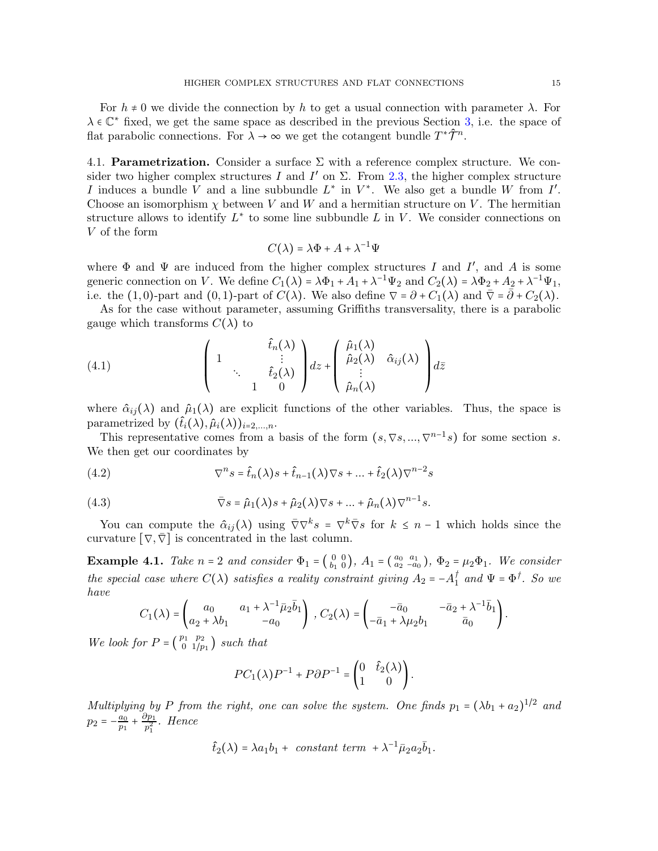For  $h \neq 0$  we divide the connection by h to get a usual connection with parameter  $\lambda$ . For  $\lambda \in \mathbb{C}^*$  fixed, we get the same space as described in the previous Section [3,](#page-8-0) i.e. the space of flat parabolic connections. For  $\lambda \to \infty$  we get the cotangent bundle  $T^*\hat{\mathcal{T}}^n$ .

<span id="page-14-2"></span>4.1. **Parametrization.** Consider a surface  $\Sigma$  with a reference complex structure. We consider two higher complex structures I and I' on  $\Sigma$ . From [2.3,](#page-6-1) the higher complex structure I induces a bundle V and a line subbundle  $L^*$  in  $V^*$ . We also get a bundle W from I'. Choose an isomorphism  $\chi$  between V and W and a hermitian structure on V. The hermitian structure allows to identify  $L^*$  to some line subbundle L in V. We consider connections on V of the form

$$
C(\lambda)=\lambda\Phi+A+\lambda^{-1}\Psi
$$

where  $\Phi$  and  $\Psi$  are induced from the higher complex structures I and I', and A is some generic connection on V. We define  $C_1(\lambda) = \lambda \Phi_1 + A_1 + \lambda^{-1} \Psi_2$  and  $C_2(\lambda) = \lambda \Phi_2 + A_2 + \lambda^{-1} \Psi_1$ , i.e. the (1,0)-part and (0,1)-part of  $C(\lambda)$ . We also define  $\nabla = \partial + C_1(\lambda)$  and  $\overline{\nabla} = \overline{\partial} + C_2(\lambda)$ .

As for the case without parameter, assuming Griffiths transversality, there is a parabolic gauge which transforms  $C(\lambda)$  to

<span id="page-14-4"></span>(4.1) 
$$
\begin{pmatrix} 1 & \frac{\hat{t}_n(\lambda)}{\vdots} \\ 1 & \frac{\hat{t}_2(\lambda)}{1} \end{pmatrix} dz + \begin{pmatrix} \hat{\mu}_1(\lambda) \\ \hat{\mu}_2(\lambda) & \hat{\alpha}_{ij}(\lambda) \\ \vdots \\ \hat{\mu}_n(\lambda) \end{pmatrix} dz
$$

where  $\hat{\alpha}_{ij}(\lambda)$  and  $\hat{\mu}_1(\lambda)$  are explicit functions of the other variables. Thus, the space is parametrized by  $(t_i(\lambda), \hat{\mu}_i(\lambda))_{i=2,\ldots,n}$ .

This representative comes from a basis of the form  $(s, \nabla s, ..., \nabla^{n-1}s)$  for some section s. We then get our coordinates by

<span id="page-14-0"></span>(4.2) 
$$
\nabla^n s = \hat{t}_n(\lambda)s + \hat{t}_{n-1}(\lambda)\nabla s + \dots + \hat{t}_2(\lambda)\nabla^{n-2}s
$$

(4.3) 
$$
\overline{\nabla}s = \hat{\mu}_1(\lambda)s + \hat{\mu}_2(\lambda)\nabla s + ... + \hat{\mu}_n(\lambda)\nabla^{n-1}s.
$$

You can compute the  $\hat{\alpha}_{ij}(\lambda)$  using  $\bar{\nabla}\nabla^k s = \nabla^k \bar{\nabla} s$  for  $k \leq n-1$  which holds since the curvature  $[\nabla, \overline{\nabla}]$  is concentrated in the last column.

<span id="page-14-3"></span>**Example 4.1.** Take  $n = 2$  and consider  $\Phi_1 = \begin{pmatrix} 0 & 0 \\ b_1 & 0 \end{pmatrix}$ ,  $A_1 = \begin{pmatrix} a_0 & a_1 \\ a_2 & -a_0 \end{pmatrix}$ ,  $\Phi_2 = \mu_2 \Phi_1$ . We consider the special case where  $C(\lambda)$  satisfies a reality constraint giving  $A_2 = -A_1^{\dagger}$  and  $\Psi = \Phi^{\dagger}$ . So we have

<span id="page-14-1"></span>
$$
C_1(\lambda)=\begin{pmatrix}a_0&a_1+\lambda^{-1}\bar{\mu}_2\bar{b}_1\\a_2+\lambda b_1&-a_0\end{pmatrix}, C_2(\lambda)=\begin{pmatrix}-\bar{a}_0&-\bar{a}_2+\lambda^{-1}\bar{b}_1\\-\bar{a}_1+\lambda\mu_2b_1&\bar{a}_0\end{pmatrix}.
$$

We look for  $P = \begin{pmatrix} p_1 & p_2 \\ 0 & 1/p_1 \end{pmatrix}$  such that

$$
PC_1(\lambda)P^{-1} + P\partial P^{-1} = \begin{pmatrix} 0 & \hat{t}_2(\lambda) \\ 1 & 0 \end{pmatrix}.
$$

Multiplying by P from the right, one can solve the system. One finds  $p_1 = (\lambda b_1 + a_2)^{1/2}$  and  $p_2 = -\frac{a_0}{n_1}$  $\frac{a_0}{p_1} + \frac{\partial p_1}{p_1^2}$  $\frac{p_{11}}{p_1^2}$ . Hence

$$
\hat{t}_2(\lambda) = \lambda a_1 b_1 + constant term + \lambda^{-1} \bar{\mu}_2 a_2 \bar{b}_1.
$$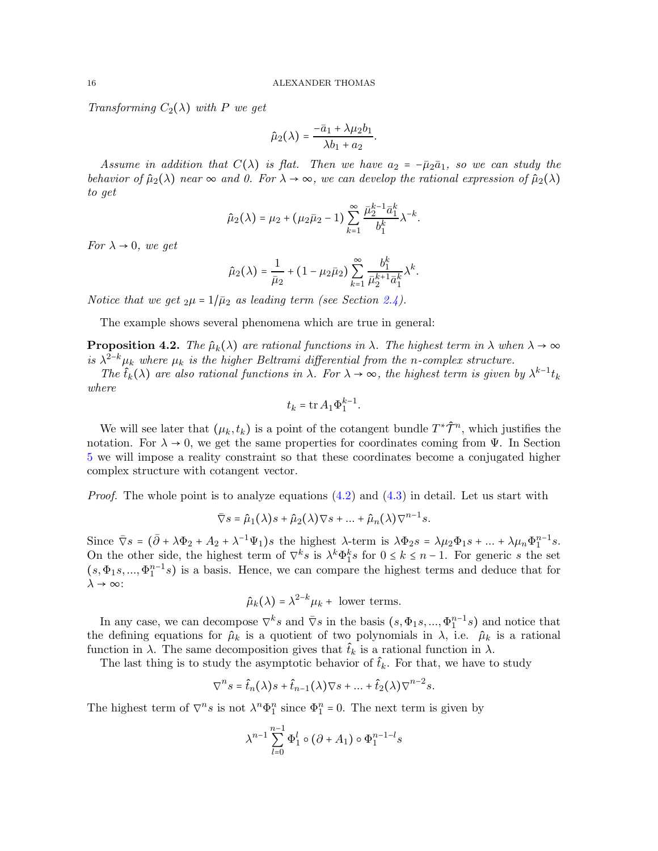Transforming  $C_2(\lambda)$  with P we get

$$
\hat{\mu}_2(\lambda) = \frac{-\bar{a}_1 + \lambda \mu_2 b_1}{\lambda b_1 + a_2}.
$$

Assume in addition that  $C(\lambda)$  is flat. Then we have  $a_2 = -\bar{\mu}_2 \bar{a}_1$ , so we can study the behavior of  $\hat{\mu}_2(\lambda)$  near  $\infty$  and 0. For  $\lambda \to \infty$ , we can develop the rational expression of  $\hat{\mu}_2(\lambda)$ to get

$$
\hat{\mu}_2(\lambda) = \mu_2 + (\mu_2 \bar{\mu}_2 - 1) \sum_{k=1}^{\infty} \frac{\bar{\mu}_2^{k-1} \bar{a}_1^k}{b_1^k} \lambda^{-k}.
$$

For  $\lambda \rightarrow 0$ , we get

$$
\hat{\mu}_2(\lambda) = \frac{1}{\bar{\mu}_2} + (1 - \mu_2 \bar{\mu}_2) \sum_{k=1}^{\infty} \frac{b_1^k}{\bar{\mu}_2^{k+1} \bar{a}_1^k} \lambda^k.
$$

Notice that we get  $_2\mu = 1/\bar{\mu}_2$  as leading term (see Section [2.4\)](#page-7-0).

The example shows several phenomena which are true in general:

<span id="page-15-0"></span>**Proposition 4.2.** The  $\hat{\mu}_k(\lambda)$  are rational functions in  $\lambda$ . The highest term in  $\lambda$  when  $\lambda \to \infty$ is  $\lambda^{2-k}\mu_k$  where  $\mu_k$  is the higher Beltrami differential from the n-complex structure.

The  $\hat{t}_k(\lambda)$  are also rational functions in  $\lambda$ . For  $\lambda \to \infty$ , the highest term is given by  $\lambda^{k-1} t_k$ where

$$
t_k=\operatorname{tr} A_1 \Phi_1^{k-1}.
$$

We will see later that  $(\mu_k, t_k)$  is a point of the cotangent bundle  $T^*\hat{\mathcal{T}}^n$ , which justifies the notation. For  $\lambda \to 0$ , we get the same properties for coordinates coming from  $\Psi$ . In Section [5](#page-19-0) we will impose a reality constraint so that these coordinates become a conjugated higher complex structure with cotangent vector.

*Proof.* The whole point is to analyze equations  $(4.2)$  and  $(4.3)$  in detail. Let us start with

$$
\overline{\nabla}s = \hat{\mu}_1(\lambda)s + \hat{\mu}_2(\lambda)\nabla s + \dots + \hat{\mu}_n(\lambda)\nabla^{n-1}s.
$$

Since  $\bar{\nabla}s = (\bar{\partial} + \lambda \Phi_2 + A_2 + \lambda^{-1} \Psi_1)s$  the highest  $\lambda$ -term is  $\lambda \Phi_2 s = \lambda \mu_2 \Phi_1 s + ... + \lambda \mu_n \Phi_1^{n-1} s$ . On the other side, the highest term of  $\nabla^k s$  is  $\lambda^k \Phi_1^k s$  for  $0 \le k \le n-1$ . For generic s the set  $(s, \Phi_1s, ..., \Phi_1^{n-1}s)$  is a basis. Hence, we can compare the highest terms and deduce that for  $\lambda \rightarrow \infty$ :

 $\hat{\mu}_k(\lambda) = \lambda^{2-k} \mu_k + \text{ lower terms.}$ 

In any case, we can decompose  $\nabla^k s$  and  $\bar{\nabla}s$  in the basis  $(s, \Phi_1s, ..., \Phi_1^{n-1}s)$  and notice that the defining equations for  $\hat{\mu}_k$  is a quotient of two polynomials in  $\lambda$ , i.e.  $\hat{\mu}_k$  is a rational function in  $\lambda$ . The same decomposition gives that  $\hat{t}_k$  is a rational function in  $\lambda$ .

The last thing is to study the asymptotic behavior of  $\hat{t}_k$ . For that, we have to study

$$
\nabla^n s = \hat{t}_n(\lambda)s + \hat{t}_{n-1}(\lambda)\nabla s + \dots + \hat{t}_2(\lambda)\nabla^{n-2}s.
$$

The highest term of  $\nabla^n s$  is not  $\lambda^n \Phi_1^n$  since  $\Phi_1^n = 0$ . The next term is given by

$$
\lambda^{n-1}\sum_{l=0}^{n-1}\Phi_1^l\circ\left(\partial+A_1\right)\circ\Phi_1^{n-1-l}s
$$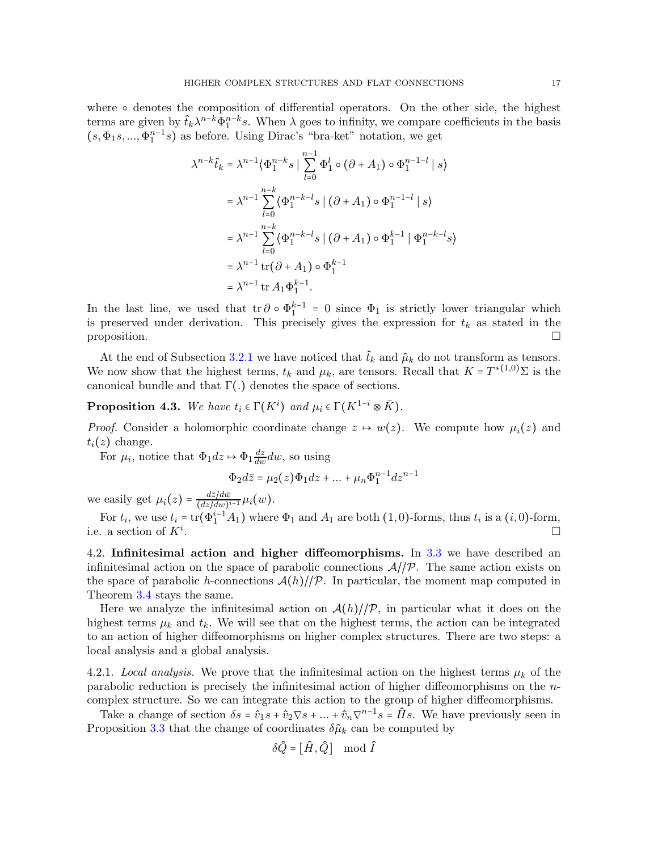where  $\circ$  denotes the composition of differential operators. On the other side, the highest terms are given by  $\hat{t}_k \lambda^{n-k} \Phi_1^{n-k} s$ . When  $\lambda$  goes to infinity, we compare coefficients in the basis  $(s, \Phi_1s, ..., \Phi_1^{n-1}s)$  as before. Using Dirac's "bra-ket" notation, we get

$$
\lambda^{n-k}\hat{t}_k = \lambda^{n-1} \langle \Phi_1^{n-k} s | \sum_{l=0}^{n-1} \Phi_1^l \circ (\partial + A_1) \circ \Phi_1^{n-1-l} | s \rangle
$$
  
=  $\lambda^{n-1} \sum_{l=0}^{n-k} \langle \Phi_1^{n-k-l} s | (\partial + A_1) \circ \Phi_1^{n-1-l} | s \rangle$   
=  $\lambda^{n-1} \sum_{l=0}^{n-k} \langle \Phi_1^{n-k-l} s | (\partial + A_1) \circ \Phi_1^{k-1} | \Phi_1^{n-k-l} s \rangle$   
=  $\lambda^{n-1} \text{tr}(\partial + A_1) \circ \Phi_1^{k-1}$   
=  $\lambda^{n-1} \text{tr} A_1 \Phi_1^{k-1}$ .

In the last line, we used that  $\text{tr}\,\partial \circ \Phi_1^{k-1} = 0$  since  $\Phi_1$  is strictly lower triangular which is preserved under derivation. This precisely gives the expression for  $t_k$  as stated in the proposition.  $\Box$ 

At the end of Subsection [3.2.1](#page-9-1) we have noticed that  $\hat{t}_k$  and  $\hat{\mu}_k$  do not transform as tensors. We now show that the highest terms,  $t_k$  and  $\mu_k$ , are tensors. Recall that  $K = T^{*(1,0)}\Sigma$  is the canonical bundle and that  $\Gamma(.)$  denotes the space of sections.

<span id="page-16-0"></span>**Proposition 4.3.** We have  $t_i \in \Gamma(K^i)$  and  $\mu_i \in \Gamma(K^{1-i} \otimes \overline{K})$ .

*Proof.* Consider a holomorphic coordinate change  $z \mapsto w(z)$ . We compute how  $\mu_i(z)$  and  $t_i(z)$  change.

For  $\mu_i$ , notice that  $\Phi_1 dz \mapsto \Phi_1 \frac{dz}{dw} dw$ , so using

$$
\Phi_2 d\bar{z} = \mu_2(z)\Phi_1 dz + \dots + \mu_n \Phi_1^{n-1} dz^{n-1}
$$

we easily get  $\mu_i(z) = \frac{d\bar{z}/d\bar{w}}{(dz/dw)^i}$  $\frac{az/aw}{(dz/dw)^{i-1}}\mu_i(w).$ 

For  $t_i$ , we use  $t_i = \text{tr}(\Phi_1^{i-1}A_1)$  where  $\Phi_1$  and  $A_1$  are both (1,0)-forms, thus  $t_i$  is a (*i*,0)-form, i.e. a section of  $K^i$ . . In the contract of the contract of the contract of the contract of the contract of the contract of the contract of

4.2. Infinitesimal action and higher diffeomorphisms. In [3.3](#page-11-0) we have described an infinitesimal action on the space of parabolic connections  $A/\mathcal{P}$ . The same action exists on the space of parabolic h-connections  $\mathcal{A}(h)/\mathcal{P}$ . In particular, the moment map computed in Theorem [3.4](#page-12-0) stays the same.

Here we analyze the infinitesimal action on  $\mathcal{A}(h)/\mathcal{P}$ , in particular what it does on the highest terms  $\mu_k$  and  $t_k$ . We will see that on the highest terms, the action can be integrated to an action of higher diffeomorphisms on higher complex structures. There are two steps: a local analysis and a global analysis.

4.2.1. Local analysis. We prove that the infinitesimal action on the highest terms  $\mu_k$  of the parabolic reduction is precisely the infinitesimal action of higher diffeomorphisms on the ncomplex structure. So we can integrate this action to the group of higher diffeomorphisms.

Take a change of section  $\delta s = \hat{v}_1 s + \hat{v}_2 \nabla s + ... + \hat{v}_n \nabla^{n-1} s = \hat{H} s$ . We have previously seen in Proposition [3.3](#page-12-1) that the change of coordinates  $\delta \hat{\mu}_k$  can be computed by

$$
\delta \hat{Q} = [\hat{H}, \hat{Q}] \mod \hat{I}
$$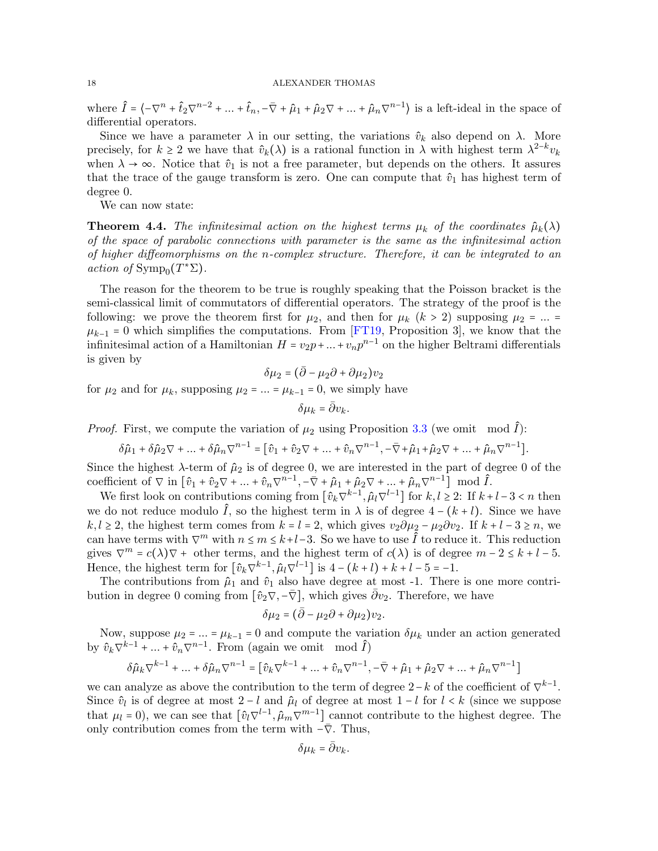where  $\hat{I} = \langle -\nabla^n + \hat{t}_2 \nabla^{n-2} + ... + \hat{t}_n, -\overline{\nabla} + \hat{\mu}_1 + \hat{\mu}_2 \nabla + ... + \hat{\mu}_n \nabla^{n-1} \rangle$  is a left-ideal in the space of differential operators.

Since we have a parameter  $\lambda$  in our setting, the variations  $\hat{v}_k$  also depend on  $\lambda$ . More precisely, for  $k \ge 2$  we have that  $\hat{v}_k(\lambda)$  is a rational function in  $\lambda$  with highest term  $\lambda^{2-k}v_k$ when  $\lambda \to \infty$ . Notice that  $\hat{v}_1$  is not a free parameter, but depends on the others. It assures that the trace of the gauge transform is zero. One can compute that  $\hat{v}_1$  has highest term of degree 0.

We can now state:

**Theorem 4.4.** The infinitesimal action on the highest terms  $\mu_k$  of the coordinates  $\hat{\mu}_k(\lambda)$ of the space of parabolic connections with parameter is the same as the infinitesimal action of higher diffeomorphisms on the n-complex structure. Therefore, it can be integrated to an action of  $\text{Symp}_0(T^*\Sigma)$ .

The reason for the theorem to be true is roughly speaking that the Poisson bracket is the semi-classical limit of commutators of differential operators. The strategy of the proof is the following: we prove the theorem first for  $\mu_2$ , and then for  $\mu_k$  ( $k > 2$ ) supposing  $\mu_2 = ... =$  $\mu_{k-1}$  = 0 which simplifies the computations. From [\[FT19,](#page-30-0) Proposition 3], we know that the infinitesimal action of a Hamiltonian  $H = v_2p + ... + v_np^{n-1}$  on the higher Beltrami differentials is given by

$$
\delta \mu_2 = \big(\bar{\partial} - \mu_2 \partial + \partial \mu_2\big)v_2
$$

for  $\mu_2$  and for  $\mu_k$ , supposing  $\mu_2 = ... = \mu_{k-1} = 0$ , we simply have

$$
\delta \mu_k = \bar{\partial} v_k.
$$

*Proof.* First, we compute the variation of  $\mu_2$  using Proposition [3.3](#page-12-1) (we omit mod  $\hat{I}$ ):

$$
\delta \hat{\mu}_1 + \delta \hat{\mu}_2 \nabla + \dots + \delta \hat{\mu}_n \nabla^{n-1} = [\hat{v}_1 + \hat{v}_2 \nabla + \dots + \hat{v}_n \nabla^{n-1}, -\overline{\nabla} + \hat{\mu}_1 + \hat{\mu}_2 \nabla + \dots + \hat{\mu}_n \nabla^{n-1}].
$$

Since the highest  $\lambda$ -term of  $\hat{\mu}_2$  is of degree 0, we are interested in the part of degree 0 of the coefficient of  $\nabla$  in  $\left[\hat{v}_1 + \hat{v}_2 \nabla + \dots + \hat{v}_n \nabla^{n-1}, -\overline{\nabla} + \hat{\mu}_1 + \hat{\mu}_2 \nabla + \dots + \hat{\mu}_n \nabla^{n-1}\right] \mod \hat{I}$ .

We first look on contributions coming from  $\left[\hat{v}_k\nabla^{k-1},\hat{\mu}_l\nabla^{l-1}\right]$  for  $k,l\geq 2$ : If  $k+l-3 < n$  then we do not reduce modulo  $\hat{I}$ , so the highest term in  $\lambda$  is of degree  $4 - (k + l)$ . Since we have  $k, l \geq 2$ , the highest term comes from  $k = l = 2$ , which gives  $v_2 \partial \mu_2 - \mu_2 \partial v_2$ . If  $k + l - 3 \geq n$ , we can have terms with  $\nabla^m$  with  $n \leq m \leq k+l-3$ . So we have to use  $\hat{I}$  to reduce it. This reduction gives  $\nabla^m = c(\lambda)\nabla$  + other terms, and the highest term of  $c(\lambda)$  is of degree  $m - 2 \leq k + l - 5$ . Hence, the highest term for  $\left[\hat{v}_k \nabla^{k-1}, \hat{\mu}_l \nabla^{l-1}\right]$  is  $4 - (k+l) + k + l - 5 = -1$ .

The contributions from  $\hat{\mu}_1$  and  $\hat{v}_1$  also have degree at most -1. There is one more contribution in degree 0 coming from  $[\hat{v}_2 \nabla, -\overline{\nabla}]$ , which gives  $\overline{\partial} v_2$ . Therefore, we have

$$
\delta\mu_2 = (\bar{\partial} - \mu_2\partial + \partial\mu_2)v_2.
$$

Now, suppose  $\mu_2 = ... = \mu_{k-1} = 0$  and compute the variation  $\delta \mu_k$  under an action generated by  $\hat{v}_k \nabla^{k-1} + ... + \hat{v}_n \nabla^{n-1}$ . From (again we omit mod  $\hat{I}$ )

$$
\delta \hat{\mu}_k\nabla^{k-1}+\ldots+\delta \hat{\mu}_n\nabla^{n-1}=\big[\hat{v}_k\nabla^{k-1}+\ldots+\hat{v}_n\nabla^{n-1},-\bar{\nabla}+\hat{\mu}_1+\hat{\mu}_2\nabla+\ldots+\hat{\mu}_n\nabla^{n-1}\big]
$$

we can analyze as above the contribution to the term of degree  $2-k$  of the coefficient of  $\nabla^{k-1}$ . Since  $\hat{v}_l$  is of degree at most 2 − l and  $\hat{\mu}_l$  of degree at most 1 − l for l < k (since we suppose that  $\mu_l = 0$ ), we can see that  $\left[\hat{v}_l \nabla^{l-1}, \hat{\mu}_m \nabla^{m-1}\right]$  cannot contribute to the highest degree. The only contribution comes from the term with  $-\bar{\nabla}$ . Thus,

$$
\delta \mu_k = \bar{\partial} v_k.
$$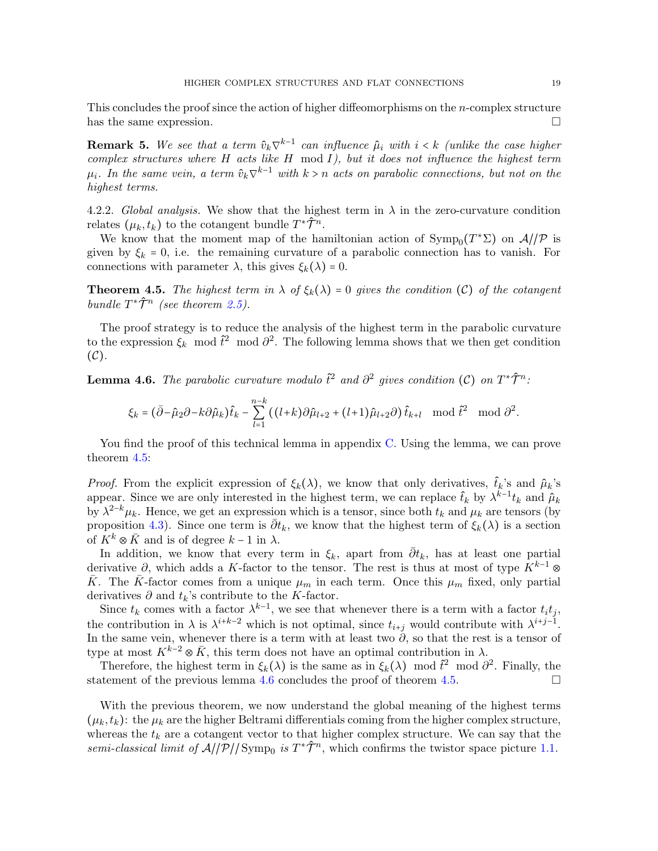This concludes the proof since the action of higher diffeomorphisms on the n-complex structure has the same expression.

**Remark 5.** We see that a term  $\hat{v}_k \nabla^{k-1}$  can influence  $\hat{\mu}_i$  with  $i < k$  (unlike the case higher complex structures where  $H$  acts like  $H$  mod  $I$ ), but it does not influence the highest term  $\mu_i$ . In the same vein, a term  $\hat{v}_k \nabla^{k-1}$  with  $k > n$  acts on parabolic connections, but not on the highest terms.

4.2.2. Global analysis. We show that the highest term in  $\lambda$  in the zero-curvature condition relates  $(\mu_k, t_k)$  to the cotangent bundle  $T^* \hat{\mathcal{T}}^n$ .

We know that the moment map of the hamiltonian action of  $\text{Symp}_0(T^*\Sigma)$  on  $\mathcal{A}/\mathcal{P}$  is given by  $\xi_k = 0$ , i.e. the remaining curvature of a parabolic connection has to vanish. For connections with parameter  $\lambda$ , this gives  $\xi_k(\lambda) = 0$ .

<span id="page-18-0"></span>**Theorem 4.5.** The highest term in  $\lambda$  of  $\xi_k(\lambda) = 0$  gives the condition (C) of the cotangent bundle  $T^* \hat{\mathcal{T}}^n$  (see theorem [2.5\)](#page-5-2).

The proof strategy is to reduce the analysis of the highest term in the parabolic curvature to the expression  $\xi_k^{\sigma}$  mod  $\hat{t}^2$  mod  $\hat{\partial}^2$ . The following lemma shows that we then get condition  $(C).$ 

<span id="page-18-1"></span>**Lemma 4.6.** The parabolic curvature modulo  $\hat{t}^2$  and  $\partial^2$  gives condition (C) on  $T^*\hat{\mathcal{T}}^n$ :

$$
\xi_k = (\bar{\partial} - \hat{\mu}_2 \partial - k \partial \hat{\mu}_k) \hat{t}_k - \sum_{l=1}^{n-k} ((l+k) \partial \hat{\mu}_{l+2} + (l+1) \hat{\mu}_{l+2} \partial) \hat{t}_{k+l} \mod \hat{t}^2 \mod \partial^2.
$$

You find the proof of this technical lemma in appendix [C.](#page-29-0) Using the lemma, we can prove theorem [4.5:](#page-18-0)

*Proof.* From the explicit expression of  $\xi_k(\lambda)$ , we know that only derivatives,  $\hat{t}_k$ 's and  $\hat{\mu}_k$ 's appear. Since we are only interested in the highest term, we can replace  $\hat{t}_k$  by  $\lambda^{k-1}t_k$  and  $\hat{\mu}_k$ by  $\lambda^{2-k}\mu_k$ . Hence, we get an expression which is a tensor, since both  $t_k$  and  $\mu_k$  are tensors (by proposition [4.3\)](#page-16-0). Since one term is  $\bar{\partial}t_k$ , we know that the highest term of  $\xi_k(\lambda)$  is a section of  $K^k \otimes \overline{K}$  and is of degree  $k-1$  in  $\lambda$ .

In addition, we know that every term in  $\xi_k$ , apart from  $\bar{\partial}t_k$ , has at least one partial derivative  $\partial$ , which adds a K-factor to the tensor. The rest is thus at most of type  $K^{k-1}$  ⊗ K. The K-factor comes from a unique  $\mu_m$  in each term. Once this  $\mu_m$  fixed, only partial derivatives  $\partial$  and  $t_k$ 's contribute to the K-factor.

Since  $t_k$  comes with a factor  $\lambda^{k-1}$ , we see that whenever there is a term with a factor  $t_i t_j$ , the contribution in  $\lambda$  is  $\lambda^{i+k-2}$  which is not optimal, since  $t_{i+j}$  would contribute with  $\lambda^{i+j-1}$ . In the same vein, whenever there is a term with at least two  $\hat{\partial}$ , so that the rest is a tensor of type at most  $K^{k-2} \otimes \bar{K}$ , this term does not have an optimal contribution in  $\lambda$ .

Therefore, the highest term in  $\xi_k(\lambda)$  is the same as in  $\xi_k(\lambda) \mod \tilde{t}^2 \mod \tilde{d}^2$ . Finally, the statement of the previous lemma [4.6](#page-18-1) concludes the proof of theorem [4.5.](#page-18-0)

With the previous theorem, we now understand the global meaning of the highest terms  $(\mu_k, t_k)$ : the  $\mu_k$  are the higher Beltrami differentials coming from the higher complex structure, whereas the  $t_k$  are a cotangent vector to that higher complex structure. We can say that the semi-classical limit of  $A//\mathcal{P}//\text{Symp}_0$  is  $T^*\hat{\mathcal{T}}^n$ , which confirms the twistor space picture [1.1.](#page-1-0)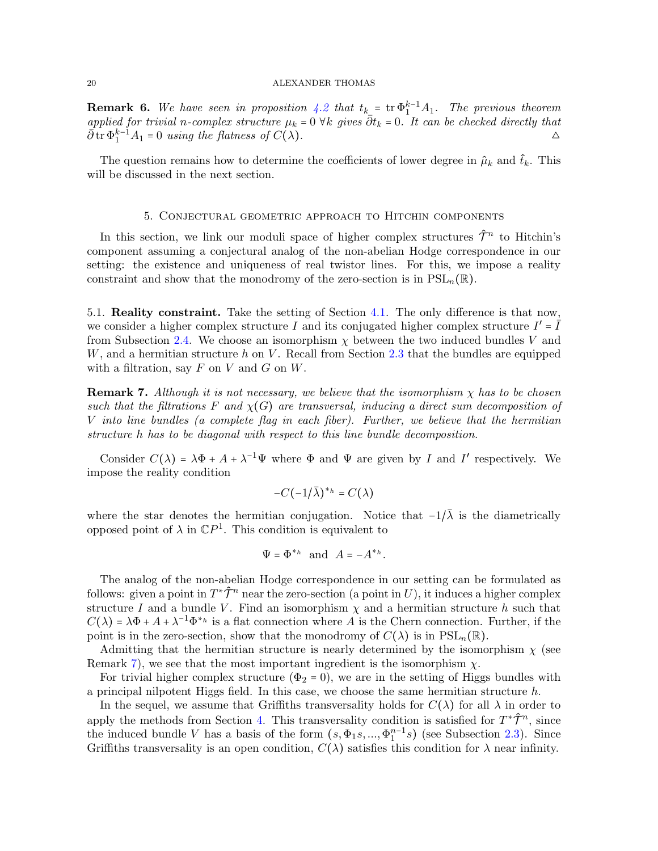**Remark 6.** We have seen in proposition [4.2](#page-15-0) that  $t_k = \text{tr} \Phi_1^{k-1} A_1$ . The previous theorem applied for trivial n-complex structure  $\mu_k = 0$   $\forall k$  gives  $\overline{\partial} t_k = 0$ . It can be checked directly that  $\overline{\partial}$  is  $\Phi_1^{k-1}A_1 = 0$  using the flatness of  $C(\lambda)$ .

The question remains how to determine the coefficients of lower degree in  $\hat{\mu}_k$  and  $\hat{t}_k$ . This will be discussed in the next section.

### 5. Conjectural geometric approach to Hitchin components

<span id="page-19-0"></span>In this section, we link our moduli space of higher complex structures  $\hat{\mathcal{T}}^n$  to Hitchin's component assuming a conjectural analog of the non-abelian Hodge correspondence in our setting: the existence and uniqueness of real twistor lines. For this, we impose a reality constraint and show that the monodromy of the zero-section is in  $PSL_n(\mathbb{R})$ .

5.1. Reality constraint. Take the setting of Section [4.1.](#page-14-2) The only difference is that now, we consider a higher complex structure I and its conjugated higher complex structure  $I' = \overline{I}$ from Subsection [2.4.](#page-7-0) We choose an isomorphism  $\chi$  between the two induced bundles V and  $W$ , and a hermitian structure  $h$  on  $V$ . Recall from Section [2.3](#page-6-1) that the bundles are equipped with a filtration, say  $F$  on  $V$  and  $G$  on  $W$ .

<span id="page-19-1"></span>**Remark 7.** Although it is not necessary, we believe that the isomorphism  $\chi$  has to be chosen such that the filtrations F and  $\chi(G)$  are transversal, inducing a direct sum decomposition of V into line bundles (a complete flag in each fiber). Further, we believe that the hermitian structure h has to be diagonal with respect to this line bundle decomposition.

Consider  $C(\lambda) = \lambda \Phi + A + \lambda^{-1} \Psi$  where  $\Phi$  and  $\Psi$  are given by I and I' respectively. We impose the reality condition

$$
-C(-1/\bar{\lambda})^{\ast_{h}}=C(\lambda)
$$

where the star denotes the hermitian conjugation. Notice that  $-1/\overline{\lambda}$  is the diametrically opposed point of  $\lambda$  in  $\mathbb{C}P^1$ . This condition is equivalent to

$$
\Psi = \Phi^{*_{h}} \text{ and } A = -A^{*_{h}}.
$$

The analog of the non-abelian Hodge correspondence in our setting can be formulated as follows: given a point in  $T^*\hat{\mathcal{T}}^n$  near the zero-section (a point in U), it induces a higher complex structure I and a bundle V. Find an isomorphism  $\chi$  and a hermitian structure h such that  $C(\lambda) = \lambda \Phi + A + \lambda^{-1} \Phi^{*h}$  is a flat connection where A is the Chern connection. Further, if the point is in the zero-section, show that the monodromy of  $C(\lambda)$  is in  $PSL_n(\mathbb{R})$ .

Admitting that the hermitian structure is nearly determined by the isomorphism  $\chi$  (see Remark [7\)](#page-19-1), we see that the most important ingredient is the isomorphism  $\chi$ .

For trivial higher complex structure ( $\Phi_2 = 0$ ), we are in the setting of Higgs bundles with a principal nilpotent Higgs field. In this case, we choose the same hermitian structure h.

In the sequel, we assume that Griffiths transversality holds for  $C(\lambda)$  for all  $\lambda$  in order to apply the methods from Section [4.](#page-13-0) This transversality condition is satisfied for  $T^*\hat{\mathcal{T}}^n$ , since the induced bundle V has a basis of the form  $(s, \Phi_1 s, ..., \Phi_1^{n-1} s)$  (see Subsection [2.3\)](#page-6-1). Since Griffiths transversality is an open condition,  $C(\lambda)$  satisfies this condition for  $\lambda$  near infinity.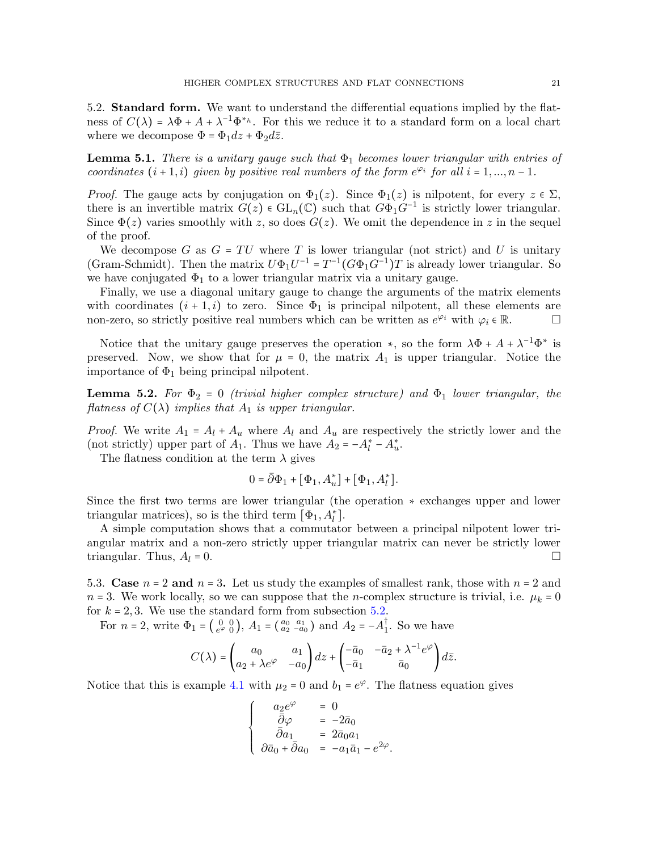<span id="page-20-0"></span>5.2. Standard form. We want to understand the differential equations implied by the flatness of  $C(\lambda) = \lambda \Phi + A + \lambda^{-1} \Phi^{*h}$ . For this we reduce it to a standard form on a local chart where we decompose  $\Phi = \Phi_1 dz + \Phi_2 d\overline{z}$ .

<span id="page-20-2"></span>**Lemma 5.1.** There is a unitary gauge such that  $\Phi_1$  becomes lower triangular with entries of coordinates  $(i + 1, i)$  given by positive real numbers of the form  $e^{\varphi_i}$  for all  $i = 1, ..., n - 1$ .

*Proof.* The gauge acts by conjugation on  $\Phi_1(z)$ . Since  $\Phi_1(z)$  is nilpotent, for every  $z \in \Sigma$ , there is an invertible matrix  $G(z) \in GL_n(\mathbb{C})$  such that  $G\overline{\Phi}_1 G^{-1}$  is strictly lower triangular. Since  $\Phi(z)$  varies smoothly with z, so does  $G(z)$ . We omit the dependence in z in the sequel of the proof.

We decompose G as  $G = TU$  where T is lower triangular (not strict) and U is unitary (Gram-Schmidt). Then the matrix  $U\Phi_1U^{-1} = T^{-1}(G\Phi_1G^{-1})T$  is already lower triangular. So we have conjugated  $\Phi_1$  to a lower triangular matrix via a unitary gauge.

Finally, we use a diagonal unitary gauge to change the arguments of the matrix elements with coordinates  $(i + 1, i)$  to zero. Since  $\Phi_1$  is principal nilpotent, all these elements are non-zero, so strictly positive real numbers which can be written as  $e^{\varphi_i}$  with  $\varphi_i \in \mathbb{R}$ .

Notice that the unitary gauge preserves the operation  $\ast$ , so the form  $\lambda \Phi + A + \lambda^{-1} \Phi^*$  is preserved. Now, we show that for  $\mu = 0$ , the matrix  $A_1$  is upper triangular. Notice the importance of  $\Phi_1$  being principal nilpotent.

<span id="page-20-3"></span>**Lemma 5.2.** For  $\Phi_2 = 0$  (trivial higher complex structure) and  $\Phi_1$  lower triangular, the flatness of  $C(\lambda)$  implies that  $A_1$  is upper triangular.

*Proof.* We write  $A_1 = A_l + A_u$  where  $A_l$  and  $A_u$  are respectively the strictly lower and the (not strictly) upper part of  $A_1$ . Thus we have  $A_2 = -A_l^* - A_u^*$ .

The flatness condition at the term  $\lambda$  gives

$$
0 = \overline{\partial} \Phi_1 + [\Phi_1, A_u^*] + [\Phi_1, A_l^*].
$$

Since the first two terms are lower triangular (the operation ∗ exchanges upper and lower triangular matrices), so is the third term  $[\Phi_1, A_l^*]$ .

A simple computation shows that a commutator between a principal nilpotent lower triangular matrix and a non-zero strictly upper triangular matrix can never be strictly lower triangular. Thus,  $A_l = 0$ .

<span id="page-20-1"></span>5.3. Case  $n = 2$  and  $n = 3$ . Let us study the examples of smallest rank, those with  $n = 2$  and  $n = 3$ . We work locally, so we can suppose that the *n*-complex structure is trivial, i.e.  $\mu_k = 0$ for  $k = 2, 3$ . We use the standard form from subsection [5.2.](#page-20-0)

For  $n = 2$ , write  $\Phi_1 = \begin{pmatrix} 0 & 0 \\ e^{\varphi} & 0 \end{pmatrix}$  $\begin{pmatrix} 0 & 0 \\ e^{\varphi} & 0 \end{pmatrix}$ ,  $A_1 = \begin{pmatrix} a_0 & a_1 \\ a_2 & -a_0 \end{pmatrix}$  and  $A_2 = -A_1^{\dagger}$ . So we have

$$
C(\lambda)=\begin{pmatrix} a_0 & a_1 \\ a_2+\lambda e^\varphi & -a_0 \end{pmatrix}dz + \begin{pmatrix} -\bar a_0 & -\bar a_2+\lambda^{-1}e^\varphi \\ -\bar a_1 & \bar a_0 \end{pmatrix}d\bar z.
$$

Notice that this is example [4.1](#page-14-3) with  $\mu_2 = 0$  and  $b_1 = e^{\varphi}$ . The flatness equation gives

$$
\left\{\begin{array}{rcl} a_2e^{\varphi}&=&0\\ \bar{\partial}\varphi&=&-2\bar{a}_0\\ \bar{\partial}a_1&=&2\bar{a}_0a_1\\ \partial\bar{a}_0+\bar{\partial}a_0&=&-a_1\bar{a}_1-e^{2\varphi}. \end{array}\right.
$$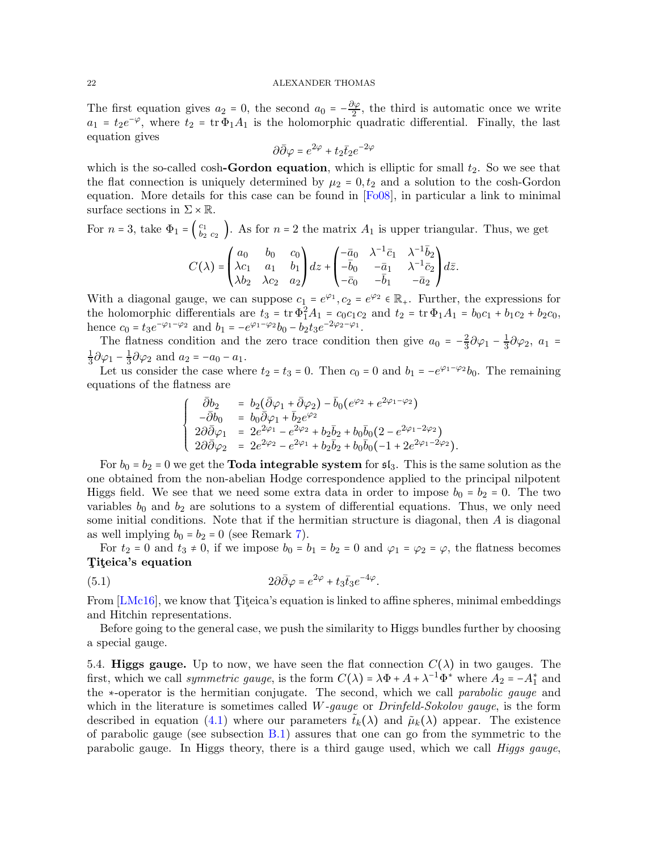The first equation gives  $a_2 = 0$ , the second  $a_0 = -\frac{\partial \varphi}{\partial z}$ , the third is automatic once we write  $a_1 = t_2 e^{-\varphi}$ , where  $t_2 = \text{tr } \Phi_1 A_1$  is the holomorphic quadratic differential. Finally, the last equation gives

$$
\partial \bar{\partial} \varphi = e^{2\varphi} + t_2 \bar{t}_2 e^{-2\varphi}
$$

which is the so-called cosh-**Gordon equation**, which is elliptic for small  $t_2$ . So we see that the flat connection is uniquely determined by  $\mu_2 = 0, t_2$  and a solution to the cosh-Gordon equation. More details for this case can be found in [\[Fo08\]](#page-30-4), in particular a link to minimal surface sections in  $\Sigma \times \mathbb{R}$ .

For 
$$
n = 3
$$
, take  $\Phi_1 = \begin{pmatrix} c_1 \\ b_2 \end{pmatrix}$ . As for  $n = 2$  the matrix  $A_1$  is upper triangular. Thus, we get\n
$$
C(\lambda) = \begin{pmatrix} a_0 & b_0 & c_0 \\ \lambda c_1 & a_1 & b_1 \\ \lambda b_2 & \lambda c_2 & a_2 \end{pmatrix} dz + \begin{pmatrix} -\bar{a}_0 & \lambda^{-1} \bar{c}_1 & \lambda^{-1} \bar{b}_2 \\ -\bar{b}_0 & -\bar{a}_1 & \lambda^{-1} \bar{c}_2 \\ -\bar{c}_0 & -\bar{b}_1 & -\bar{a}_2 \end{pmatrix} d\bar{z}.
$$

With a diagonal gauge, we can suppose  $c_1 = e^{\varphi_1}$ ,  $c_2 = e^{\varphi_2} \in \mathbb{R}_+$ . Further, the expressions for the holomorphic differentials are  $t_3 = \text{tr } \Phi_1^2 A_1 = c_0 c_1 c_2$  and  $t_2 = \text{tr } \Phi_1 A_1 = b_0 c_1 + b_1 c_2 + b_2 c_0$ , hence  $c_0 = t_3 e^{-\varphi_1 - \varphi_2}$  and  $b_1 = -e^{\varphi_1 - \varphi_2} b_0 - b_2 t_3 e^{-2\varphi_2 - \varphi_1}$ .

The flatness condition and the zero trace condition then give  $a_0 = -\frac{2}{3}$  $\frac{2}{3}\partial\varphi_1-\frac{1}{3}$  $\frac{1}{3}\partial\varphi_2, a_1 =$ 1  $\frac{1}{3}\partial\varphi_1-\frac{1}{3}$  $\frac{1}{3}\partial\varphi_2$  and  $a_2 = -a_0 - a_1$ .

Let us consider the case where  $t_2 = t_3 = 0$ . Then  $c_0 = 0$  and  $b_1 = -e^{\varphi_1 - \varphi_2} b_0$ . The remaining equations of the flatness are

$$
\left\{\begin{array}{rcl} \bar{\partial} b_2&=&b_2(\bar{\partial}\varphi_1+\bar{\partial}\varphi_2)-\bar{b}_0(e^{\varphi_2}+e^{2\varphi_1-\varphi_2})\\ -\bar{\partial} b_0&=&b_0\bar{\partial}\varphi_1+\bar{b}_2e^{\varphi_2}\\ 2\partial\bar{\partial}\varphi_1&=&2e^{2\varphi_1}-e^{2\varphi_2}+b_2\bar{b}_2+b_0\bar{b}_0(2-e^{2\varphi_1-2\varphi_2})\\ 2\partial\bar{\partial}\varphi_2&=&2e^{2\varphi_2}-e^{2\varphi_1}+b_2\bar{b}_2+b_0\bar{b}_0(-1+2e^{2\varphi_1-2\varphi_2}). \end{array}\right.
$$

For  $b_0 = b_2 = 0$  we get the **Toda integrable system** for  $\mathfrak{sl}_3$ . This is the same solution as the one obtained from the non-abelian Hodge correspondence applied to the principal nilpotent Higgs field. We see that we need some extra data in order to impose  $b_0 = b_2 = 0$ . The two variables  $b_0$  and  $b_2$  are solutions to a system of differential equations. Thus, we only need some initial conditions. Note that if the hermitian structure is diagonal, then A is diagonal as well implying  $b_0 = b_2 = 0$  (see Remark [7\)](#page-19-1).

For  $t_2 = 0$  and  $t_3 \neq 0$ , if we impose  $b_0 = b_1 = b_2 = 0$  and  $\varphi_1 = \varphi_2 = \varphi$ , the flatness becomes Titeica's equation

(5.1) 
$$
2\partial\bar{\partial}\varphi = e^{2\varphi} + t_3\bar{t}_3e^{-4\varphi}.
$$

From  $[LMc16]$ , we know that Titeica's equation is linked to affine spheres, minimal embeddings and Hitchin representations.

Before going to the general case, we push the similarity to Higgs bundles further by choosing a special gauge.

5.4. Higgs gauge. Up to now, we have seen the flat connection  $C(\lambda)$  in two gauges. The first, which we call *symmetric gauge*, is the form  $C(\lambda) = \lambda \Phi + A + \lambda^{-1} \Phi^*$  where  $A_2 = -A_1^*$  and the ∗-operator is the hermitian conjugate. The second, which we call parabolic gauge and which in the literature is sometimes called  $W$ -gauge or  $Drinfeld-Sokolov gauge$ , is the form described in equation [\(4.1\)](#page-14-4) where our parameters  $\tilde{t}_k(\lambda)$  and  $\tilde{\mu}_k(\lambda)$  appear. The existence of parabolic gauge (see subsection [B.1\)](#page-28-1) assures that one can go from the symmetric to the parabolic gauge. In Higgs theory, there is a third gauge used, which we call Higgs gauge,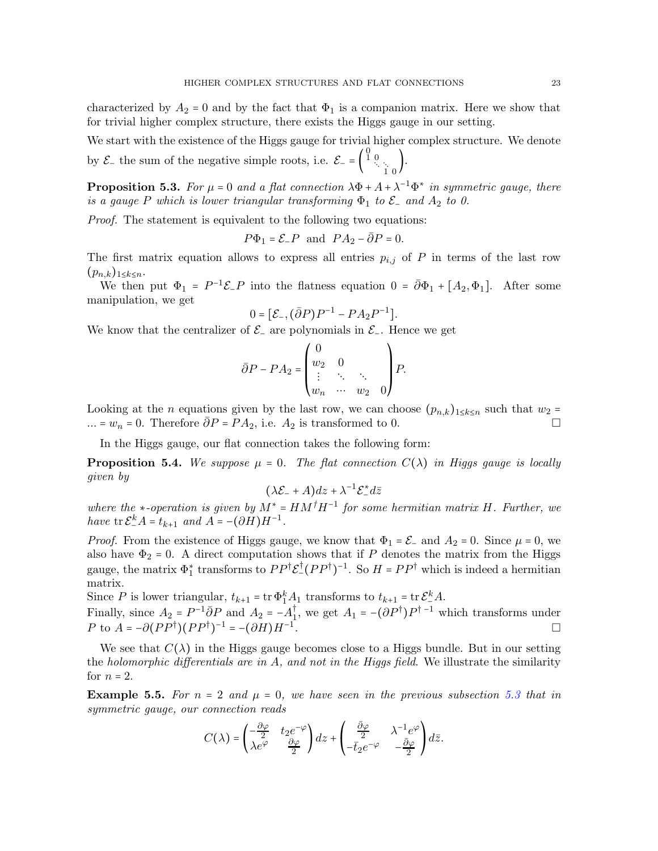characterized by  $A_2 = 0$  and by the fact that  $\Phi_1$  is a companion matrix. Here we show that for trivial higher complex structure, there exists the Higgs gauge in our setting.

We start with the existence of the Higgs gauge for trivial higher complex structure. We denote by  $\mathcal{E}_-$  the sum of the negative simple roots, i.e.  $\mathcal{E}_- = \begin{bmatrix} \end{bmatrix}$  $\begin{smallmatrix} 0\ 1\ 0 \end{smallmatrix}$  $\begin{matrix} 0 \\ 1 \end{matrix}$ .

**Proposition 5.3.** For  $\mu = 0$  and a flat connection  $\lambda \Phi + A + \lambda^{-1} \Phi^*$  in symmetric gauge, there is a gauge P which is lower triangular transforming  $\Phi_1$  to  $\mathcal{E}_-$  and  $A_2$  to 0.

Proof. The statement is equivalent to the following two equations:

$$
P\Phi_1 = \mathcal{E}_- P \text{ and } P A_2 - \overline{\partial} P = 0.
$$

The first matrix equation allows to express all entries  $p_{i,j}$  of P in terms of the last row  $(p_{n,k})_{1\leq k\leq n}$ .

We then put  $\Phi_1 = P^{-1}\mathcal{E}_P$  into the flatness equation  $0 = \bar{\partial}\Phi_1 + [A_2, \Phi_1]$ . After some manipulation, we get

$$
0 = [\mathcal{E}_{-}, (\bar{\partial}P)P^{-1} - PA_2P^{-1}].
$$

We know that the centralizer of  $\mathcal{E}_-$  are polynomials in  $\mathcal{E}_-$ . Hence we get

$$
\bar{\partial}P - PA_2 = \begin{pmatrix} 0 & & \\ w_2 & 0 & \\ \vdots & \ddots & \ddots \\ w_n & \cdots & w_2 & 0 \end{pmatrix} P.
$$

Looking at the n equations given by the last row, we can choose  $(p_{n,k})_{1\leq k\leq n}$  such that  $w_2$  = ... =  $w_n$  = 0. Therefore  $\overline{\partial}P = PA_2$ , i.e.  $A_2$  is transformed to 0.

In the Higgs gauge, our flat connection takes the following form:

**Proposition 5.4.** We suppose  $\mu = 0$ . The flat connection  $C(\lambda)$  in Higgs gauge is locally given by

$$
(\lambda \mathcal{E}_{-} + A)dz + \lambda^{-1} \mathcal{E}_{-}^{*} d\bar{z}
$$

where the  $\ast$ -operation is given by  $M^* = H M^{\dagger} H^{-1}$  for some hermitian matrix H. Further, we have  $\text{tr }\mathcal{E}_{-}^{k}A = t_{k+1}$  and  $A = -(\partial H)H^{-1}$ .

*Proof.* From the existence of Higgs gauge, we know that  $\Phi_1 = \mathcal{E}_-$  and  $A_2 = 0$ . Since  $\mu = 0$ , we also have  $\Phi_2 = 0$ . A direct computation shows that if P denotes the matrix from the Higgs gauge, the matrix  $\Phi_1^*$  transforms to  $PP^{\dagger} \mathcal{E}^{\dagger} (PP^{\dagger})^{-1}$ . So  $H = PP^{\dagger}$  which is indeed a hermitian matrix.

Since P is lower triangular,  $t_{k+1} = \text{tr } \Phi_1^k A_1$  transforms to  $t_{k+1} = \text{tr } \mathcal{E}_-^k A$ .

Finally, since  $A_2 = P^{-1} \overline{\partial} P$  and  $A_2 = -A_1^{\dagger}$ , we get  $A_1 = -(\partial P^{\dagger}) P^{\dagger -1}$  which transforms under P to  $\ddot{A} = -\partial (PP^{\dagger})(PP^{\dagger})^{-1} = -(\partial H)H^{-1}$ .

We see that  $C(\lambda)$  in the Higgs gauge becomes close to a Higgs bundle. But in our setting the holomorphic differentials are in  $A$ , and not in the Higgs field. We illustrate the similarity for  $n = 2$ .

**Example 5.5.** For  $n = 2$  and  $\mu = 0$ , we have seen in the previous subsection [5.3](#page-20-1) that in symmetric gauge, our connection reads

$$
C(\lambda)=\begin{pmatrix} -\frac{\partial\varphi}{2} & t_2e^{-\varphi} \\ \lambda e^{\varphi} & \frac{\partial\varphi}{2} \end{pmatrix}dz+\begin{pmatrix} \frac{\bar{\partial}\varphi}{2} & \lambda^{-1}e^{\varphi} \\ -\bar{t}_2e^{-\varphi} & -\frac{\bar{\partial}\varphi}{2} \end{pmatrix}d\bar{z}.
$$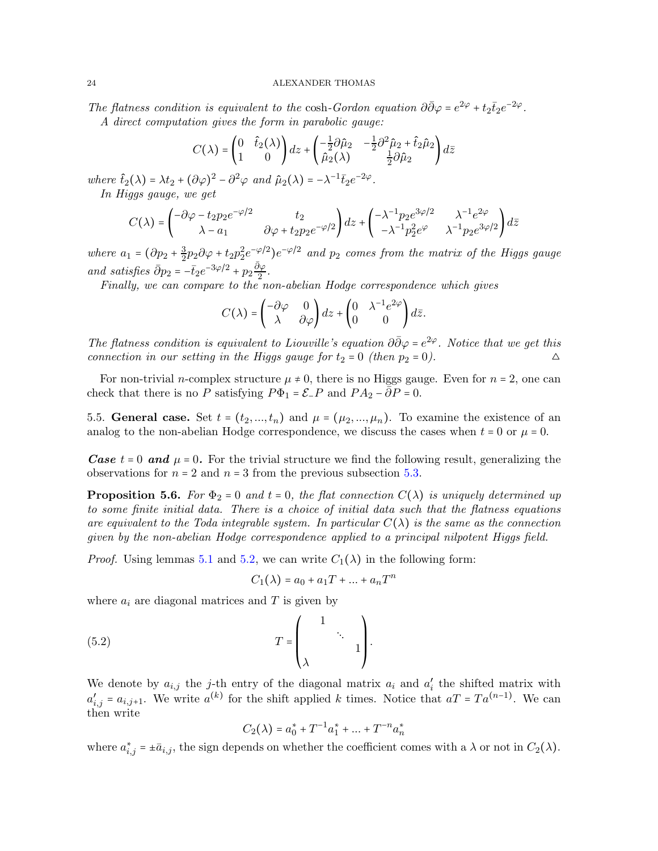The flatness condition is equivalent to the cosh-Gordon equation  $\partial \bar{\partial} \varphi = e^{2\varphi} + t_2 \bar{t}_2 e^{-2\varphi}$ . A direct computation gives the form in parabolic gauge:

$$
C(\lambda)=\begin{pmatrix}0&\hat{t}_2(\lambda)\\1&0\end{pmatrix}dz+\begin{pmatrix}-\frac{1}{2}\partial\hat{\mu}_2&-\frac{1}{2}\partial^2\hat{\mu}_2+\hat{t}_2\hat{\mu}_2\\ \hat{\mu}_2(\lambda)&\frac{1}{2}\partial\hat{\mu}_2\end{pmatrix}d\bar{z}
$$

where  $\hat{t}_2(\lambda) = \lambda t_2 + (\partial \varphi)^2 - \partial^2 \varphi$  and  $\hat{\mu}_2(\lambda) = -\lambda^{-1} \bar{t}_2 e^{-2\varphi}$ . In Higgs gauge, we get

$$
C(\lambda)=\begin{pmatrix}-\partial\varphi-t_2p_2e^{-\varphi/2}&t_2\\ \lambda-a_1&\partial\varphi+t_2p_2e^{-\varphi/2}\end{pmatrix}dz+\begin{pmatrix}-\lambda^{-1}p_2e^{3\varphi/2}&\lambda^{-1}e^{2\varphi}\\ -\lambda^{-1}p_2^2e^{\varphi}&\lambda^{-1}p_2e^{3\varphi/2}\end{pmatrix}d\bar{z}
$$

where  $a_1 = (\partial p_2 + \frac{3}{2})$  $\frac{3}{2}p_2\partial\varphi+t_2p_2^2e^{-\varphi/2}$  ) $e^{-\varphi/2}$  and  $p_2$  comes from the matrix of the Higgs gauge and satisfies  $\bar{\partial}p_2 = -\bar{t}_2e^{-3\varphi/2} + p_2\frac{\bar{\partial}\varphi}{2}$ .

Finally, we can compare to the non-abelian Hodge correspondence which gives

$$
C(\lambda) = \begin{pmatrix} -\partial \varphi & 0 \\ \lambda & \partial \varphi \end{pmatrix} dz + \begin{pmatrix} 0 & \lambda^{-1} e^{2\varphi} \\ 0 & 0 \end{pmatrix} d\overline{z}.
$$

The flatness condition is equivalent to Liouville's equation  $\partial \bar{\partial} \varphi = e^{2\varphi}$ . Notice that we get this connection in our setting in the Higgs gauge for  $t_2 = 0$  (then  $p_2 = 0$ ).

For non-trivial *n*-complex structure  $\mu \neq 0$ , there is no Higgs gauge. Even for  $n = 2$ , one can check that there is no P satisfying  $P\Phi_1 = \mathcal{E}_-P$  and  $PA_2 - \overline{\partial}P = 0$ .

<span id="page-23-0"></span>5.5. General case. Set  $t = (t_2, ..., t_n)$  and  $\mu = (\mu_2, ..., \mu_n)$ . To examine the existence of an analog to the non-abelian Hodge correspondence, we discuss the cases when  $t = 0$  or  $\mu = 0$ .

**Case**  $t = 0$  and  $\mu = 0$ . For the trivial structure we find the following result, generalizing the observations for  $n = 2$  and  $n = 3$  from the previous subsection [5.3.](#page-20-1)

<span id="page-23-1"></span>**Proposition 5.6.** For  $\Phi_2 = 0$  and  $t = 0$ , the flat connection  $C(\lambda)$  is uniquely determined up to some finite initial data. There is a choice of initial data such that the flatness equations are equivalent to the Toda integrable system. In particular  $C(\lambda)$  is the same as the connection given by the non-abelian Hodge correspondence applied to a principal nilpotent Higgs field.

*Proof.* Using lemmas [5.1](#page-20-2) and [5.2,](#page-20-3) we can write  $C_1(\lambda)$  in the following form:

$$
C_1(\lambda) = a_0 + a_1 T + \dots + a_n T^n
$$

where  $a_i$  are diagonal matrices and T is given by

$$
(5.2) \t\t T = \begin{pmatrix} 1 & & \\ & \ddots & \\ \lambda & & 1 \end{pmatrix}.
$$

We denote by  $a_{i,j}$  the j-th entry of the diagonal matrix  $a_i$  and  $a'_i$  the shifted matrix with  $a'_{i,j} = a_{i,j+1}$ . We write  $a^{(k)}$  for the shift applied k times. Notice that  $aT = Ta^{(n-1)}$ . We can then write

$$
C_2(\lambda) = a_0^* + T^{-1}a_1^* + \dots + T^{-n}a_n^*
$$

where  $a_{i,j}^* = \pm \bar{a}_{i,j}$ , the sign depends on whether the coefficient comes with a  $\lambda$  or not in  $C_2(\lambda)$ .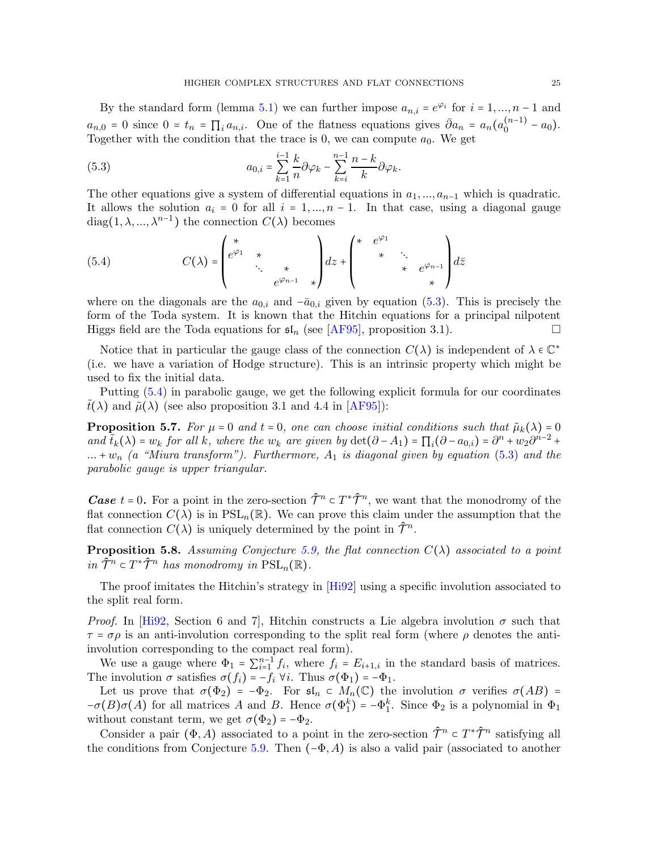By the standard form (lemma [5.1\)](#page-20-2) we can further impose  $a_{n,i} = e^{\varphi_i}$  for  $i = 1, ..., n-1$  and  $a_{n,0} = 0$  since  $0 = t_n = \prod_i a_{n,i}$ . One of the flatness equations gives  $\bar{\partial} a_n = a_n (a_0^{(n-1)} - a_0)$ . Together with the condition that the trace is 0, we can compute  $a_0$ . We get

<span id="page-24-0"></span>(5.3) 
$$
a_{0,i} = \sum_{k=1}^{i-1} \frac{k}{n} \partial \varphi_k - \sum_{k=i}^{n-1} \frac{n-k}{k} \partial \varphi_k.
$$

The other equations give a system of differential equations in  $a_1, ..., a_{n-1}$  which is quadratic. It allows the solution  $a_i = 0$  for all  $i = 1, ..., n - 1$ . In that case, using a diagonal gauge diag(1,  $\lambda$ , ...,  $\lambda^{n-1}$ ) the connection  $C(\lambda)$  becomes

<span id="page-24-1"></span>(5.4) 
$$
C(\lambda) = \begin{pmatrix} * & & & \\ e^{\varphi_1} & * & & \\ & \ddots & * & \\ & & e^{\varphi_{n-1}} & * \end{pmatrix} dz + \begin{pmatrix} * & e^{\varphi_1} & & & \\ & * & \ddots & \\ & & * & e^{\varphi_{n-1}} \\ & & & * \end{pmatrix} d\overline{z}
$$

where on the diagonals are the  $a_{0,i}$  and  $-\bar{a}_{0,i}$  given by equation [\(5.3\)](#page-24-0). This is precisely the form of the Toda system. It is known that the Hitchin equations for a principal nilpotent Higgs field are the Toda equations for  $\mathfrak{sl}_n$  (see [\[AF95\]](#page-30-5), proposition 3.1).

Notice that in particular the gauge class of the connection  $C(\lambda)$  is independent of  $\lambda \in \mathbb{C}^*$ (i.e. we have a variation of Hodge structure). This is an intrinsic property which might be used to fix the initial data.

Putting [\(5.4\)](#page-24-1) in parabolic gauge, we get the following explicit formula for our coordinates  $t(\lambda)$  and  $\tilde{\mu}(\lambda)$  (see also proposition 3.1 and 4.4 in [\[AF95\]](#page-30-5)):

**Proposition 5.7.** For  $\mu = 0$  and  $t = 0$ , one can choose initial conditions such that  $\tilde{\mu}_k(\lambda) = 0$ and  $\tilde{t}_k(\lambda) = w_k$  for all k, where the  $w_k$  are given by  $\det(\partial - A_1) = \prod_i (\partial - a_{0,i}) = \partial^n + w_2 \partial^{n-2} +$  $... + w_n$  (a "Miura transform"). Furthermore,  $A_1$  is diagonal given by equation [\(5.3\)](#page-24-0) and the parabolic gauge is upper triangular.

**Case**  $t = 0$ . For a point in the zero-section  $\hat{\mathcal{T}}^n \in T^* \hat{\mathcal{T}}^n$ , we want that the monodromy of the flat connection  $C(\lambda)$  is in  $PSL_n(\mathbb{R})$ . We can prove this claim under the assumption that the flat connection  $C(\lambda)$  is uniquely determined by the point in  $\hat{\mathcal{T}}^n$ .

<span id="page-24-2"></span>**Proposition 5.8.** Assuming Conjecture [5.9,](#page-26-2) the flat connection  $C(\lambda)$  associated to a point in  $\hat{\mathcal{T}}^n \subset T^* \hat{\mathcal{T}}^n$  has monodromy in  $PSL_n(\mathbb{R})$ .

The proof imitates the Hitchin's strategy in [\[Hi92\]](#page-31-0) using a specific involution associated to the split real form.

*Proof.* In [\[Hi92,](#page-31-0) Section 6 and 7], Hitchin constructs a Lie algebra involution  $\sigma$  such that  $\tau = \sigma \rho$  is an anti-involution corresponding to the split real form (where  $\rho$  denotes the antiinvolution corresponding to the compact real form).

We use a gauge where  $\Phi_1 = \sum_{i=1}^{n-1} f_i$ , where  $f_i = E_{i+1,i}$  in the standard basis of matrices. The involution  $\sigma$  satisfies  $\sigma(f_i) = -f_i \,\forall i$ . Thus  $\sigma(\Phi_1) = -\Phi_1$ .

Let us prove that  $\sigma(\Phi_2) = -\Phi_2$ . For  $\mathfrak{sl}_n \subset M_n(\mathbb{C})$  the involution  $\sigma$  verifies  $\sigma(AB) =$  $-\sigma(B)\sigma(A)$  for all matrices A and B. Hence  $\sigma(\Phi_1^k) = -\Phi_1^k$ . Since  $\Phi_2$  is a polynomial in  $\Phi_1$ without constant term, we get  $\sigma(\Phi_2) = -\Phi_2$ .

Consider a pair  $(\Phi, A)$  associated to a point in the zero-section  $\hat{\mathcal{T}}^n \subset T^* \hat{\mathcal{T}}^n$  satisfying all the conditions from Conjecture [5.9.](#page-26-2) Then  $(-\Phi, A)$  is also a valid pair (associated to another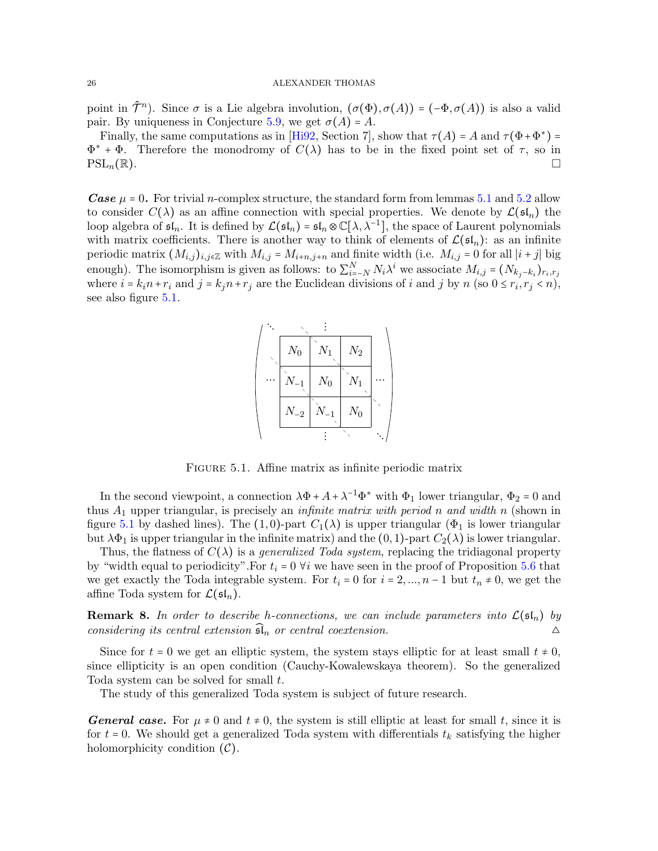point in  $\hat{\mathcal{T}}^n$ ). Since  $\sigma$  is a Lie algebra involution,  $(\sigma(\Phi), \sigma(A)) = (-\Phi, \sigma(A))$  is also a valid pair. By uniqueness in Conjecture [5.9,](#page-26-2) we get  $\sigma(A) = A$ .

Finally, the same computations as in [\[Hi92,](#page-31-0) Section 7], show that  $\tau(A) = A$  and  $\tau(\Phi + \Phi^*) =$  $\Phi^*$  +  $\Phi$ . Therefore the monodromy of  $C(\lambda)$  has to be in the fixed point set of  $\tau$ , so in  $PSL_n(\mathbb{R}).$ 

**Case**  $\mu$  = 0. For trivial *n*-complex structure, the standard form from lemmas [5.1](#page-20-2) and [5.2](#page-20-3) allow to consider  $C(\lambda)$  as an affine connection with special properties. We denote by  $\mathcal{L}(\mathfrak{sl}_n)$  the loop algebra of  $\mathfrak{sl}_n$ . It is defined by  $\mathcal{L}(\mathfrak{sl}_n) = \mathfrak{sl}_n \otimes \mathbb{C}[\lambda, \lambda^{-1}]$ , the space of Laurent polynomials with matrix coefficients. There is another way to think of elements of  $\mathcal{L}(\mathfrak{sl}_n)$ : as an infinite periodic matrix  $(M_{i,j})_{i,j\in\mathbb{Z}}$  with  $M_{i,j} = M_{i+n,j+n}$  and finite width (i.e.  $M_{i,j} = 0$  for all  $|i+j|$  big enough). The isomorphism is given as follows: to  $\sum_{i=-N}^{N} N_i \lambda^i$  we associate  $M_{i,j} = (N_{k_j-k_i})_{r_i,r_j}$ where  $i = k_i n + r_i$  and  $j = k_j n + r_j$  are the Euclidean divisions of i and j by n (so  $0 \le r_i, r_j < n$ ), see also figure [5.1.](#page-25-0)



<span id="page-25-0"></span>FIGURE 5.1. Affine matrix as infinite periodic matrix

In the second viewpoint, a connection  $\lambda \Phi + A + \lambda^{-1} \Phi^*$  with  $\Phi_1$  lower triangular,  $\Phi_2 = 0$  and thus  $A_1$  upper triangular, is precisely an *infinite matrix with period n and width n* (shown in figure [5.1](#page-25-0) by dashed lines). The (1,0)-part  $C_1(\lambda)$  is upper triangular ( $\Phi_1$  is lower triangular but  $\lambda \Phi_1$  is upper triangular in the infinite matrix) and the  $(0, 1)$ -part  $C_2(\lambda)$  is lower triangular.

Thus, the flatness of  $C(\lambda)$  is a *generalized Toda system*, replacing the tridiagonal property by "width equal to periodicity". For  $t_i = 0$   $\forall i$  we have seen in the proof of Proposition [5.6](#page-23-1) that we get exactly the Toda integrable system. For  $t_i = 0$  for  $i = 2, ..., n - 1$  but  $t_n \neq 0$ , we get the affine Toda system for  $\mathcal{L}(\mathfrak{sl}_n)$ .

**Remark 8.** In order to describe h-connections, we can include parameters into  $\mathcal{L}(\mathfrak{sl}_n)$  by considering its central extension  $\widehat{\mathfrak{sl}}_n$  or central coextension.

Since for  $t = 0$  we get an elliptic system, the system stays elliptic for at least small  $t \neq 0$ , since ellipticity is an open condition (Cauchy-Kowalewskaya theorem). So the generalized Toda system can be solved for small t.

The study of this generalized Toda system is subject of future research.

**General case.** For  $\mu \neq 0$  and  $t \neq 0$ , the system is still elliptic at least for small t, since it is for  $t = 0$ . We should get a generalized Toda system with differentials  $t_k$  satisfying the higher holomorphicity condition  $(C)$ .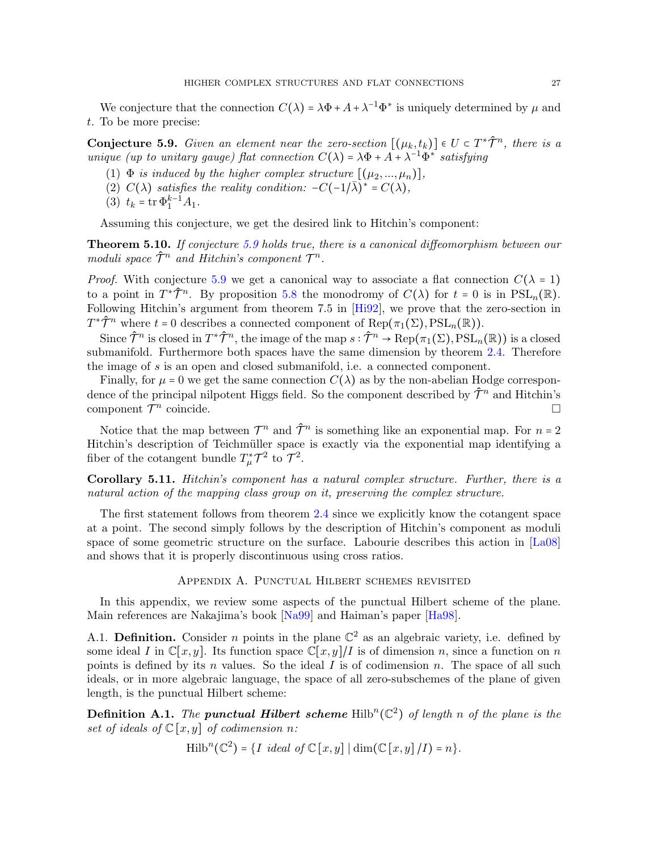We conjecture that the connection  $C(\lambda) = \lambda \Phi + A + \lambda^{-1} \Phi^*$  is uniquely determined by  $\mu$  and t. To be more precise:

<span id="page-26-2"></span>**Conjecture 5.9.** Given an element near the zero-section  $[(\mu_k, t_k)] \in U \subset T^* \hat{\mathcal{T}}^n$ , there is a unique (up to unitary gauge) flat connection  $C(\lambda) = \lambda \Phi + A + \lambda^{-1} \Phi^*$  satisfying

- (1)  $\Phi$  is induced by the higher complex structure  $[(\mu_2, ..., \mu_n)],$
- (2)  $C(\lambda)$  satisfies the reality condition:  $-C(-1/\overline{\lambda})^* = C(\lambda)$ ,
- (3)  $t_k = \text{tr } \Phi_1^{k-1} A_1$ .

Assuming this conjecture, we get the desired link to Hitchin's component:

<span id="page-26-0"></span>**Theorem 5.10.** If conjecture [5.9](#page-26-2) holds true, there is a canonical diffeomorphism between our moduli space  $\hat{\mathcal{T}}^n$  and Hitchin's component  $\mathcal{T}^n$ .

*Proof.* With conjecture [5.9](#page-26-2) we get a canonical way to associate a flat connection  $C(\lambda = 1)$ to a point in  $T^*\hat{\mathcal{T}}^n$ . By proposition [5.8](#page-24-2) the monodromy of  $C(\lambda)$  for  $t = 0$  is in  $PSL_n(\mathbb{R})$ . Following Hitchin's argument from theorem 7.5 in [\[Hi92\]](#page-31-0), we prove that the zero-section in  $T^*\hat{\mathcal{T}}^n$  where  $t = 0$  describes a connected component of  $\text{Rep}(\pi_1(\Sigma), \text{PSL}_n(\mathbb{R}))$ .

Since  $\hat{\mathcal{T}}^n$  is closed in  $T^*\hat{\mathcal{T}}^n$ , the image of the map  $s: \hat{\mathcal{T}}^n \to \text{Rep}(\pi_1(\Sigma), \text{PSL}_n(\mathbb{R}))$  is a closed submanifold. Furthermore both spaces have the same dimension by theorem [2.4.](#page-4-1) Therefore the image of s is an open and closed submanifold, i.e. a connected component.

Finally, for  $\mu = 0$  we get the same connection  $C(\lambda)$  as by the non-abelian Hodge correspondence of the principal nilpotent Higgs field. So the component described by  $\hat{\mathcal{T}}^n$  and Hitchin's component  $\mathcal{T}^n$ coincide. □

Notice that the map between  $\mathcal{T}^n$  and  $\hat{\mathcal{T}}^n$  is something like an exponential map. For  $n=2$ Hitchin's description of Teichmüller space is exactly via the exponential map identifying a fiber of the cotangent bundle  $T^*_{\mu} \mathcal{T}^2$  to  $\mathcal{T}^2$ .

Corollary 5.11. Hitchin's component has a natural complex structure. Further, there is a natural action of the mapping class group on it, preserving the complex structure.

The first statement follows from theorem [2.4](#page-4-1) since we explicitly know the cotangent space at a point. The second simply follows by the description of Hitchin's component as moduli space of some geometric structure on the surface. Labourie describes this action in [\[La08\]](#page-31-7) and shows that it is properly discontinuous using cross ratios.

#### Appendix A. Punctual Hilbert schemes revisited

<span id="page-26-1"></span>In this appendix, we review some aspects of the punctual Hilbert scheme of the plane. Main references are Nakajima's book [\[Na99\]](#page-31-3) and Haiman's paper [\[Ha98\]](#page-31-8).

A.1. Definition. Consider *n* points in the plane  $\mathbb{C}^2$  as an algebraic variety, i.e. defined by some ideal I in  $\mathbb{C}[x, y]$ . Its function space  $\mathbb{C}[x, y]/I$  is of dimension n, since a function on n points is defined by its n values. So the ideal  $I$  is of codimension n. The space of all such ideals, or in more algebraic language, the space of all zero-subschemes of the plane of given length, is the punctual Hilbert scheme:

**Definition A.1.** The **punctual Hilbert scheme**  $\text{Hilb}^n(\mathbb{C}^2)$  of length n of the plane is the set of ideals of  $\mathbb{C}[x,y]$  of codimension n:

Hilb<sup>n</sup>(
$$
\mathbb{C}^2
$$
) = {*I ideal of*  $\mathbb{C}[x, y] | \dim(\mathbb{C}[x, y]/I) = n$  }.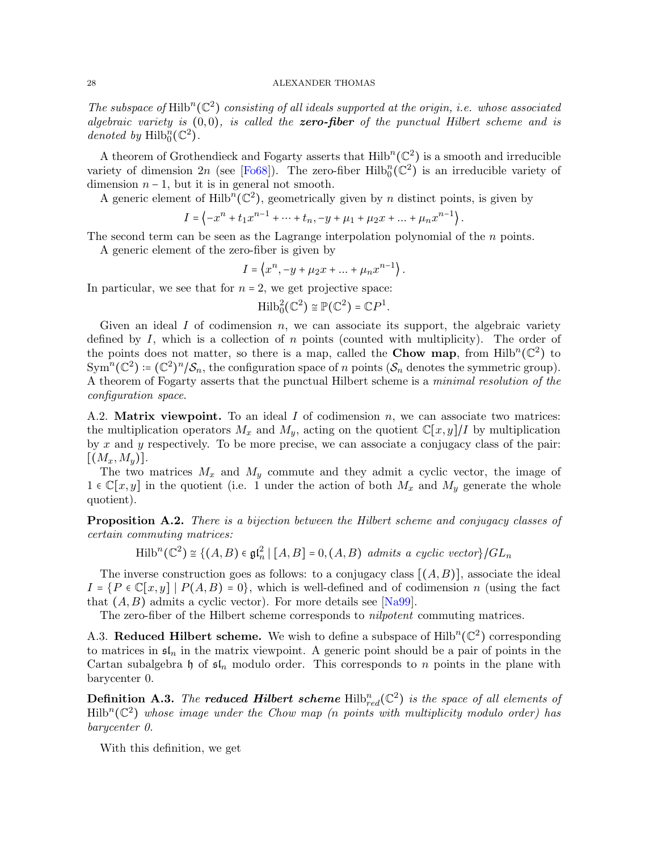The subspace of  $\mathrm{Hilb}^n(\mathbb{C}^2)$  consisting of all ideals supported at the origin, i.e. whose associated algebraic variety is  $(0,0)$ , is called the zero-fiber of the punctual Hilbert scheme and is denoted by  $\text{Hilb}_0^n(\mathbb{C}^2)$ .

A theorem of Grothendieck and Fogarty asserts that  $\text{Hilb}^n(\mathbb{C}^2)$  is a smooth and irreducible variety of dimension 2n (see [\[Fo68\]](#page-30-6)). The zero-fiber  $\text{Hilb}_{0}^{n}(\mathbb{C}^{2})$  is an irreducible variety of dimension  $n - 1$ , but it is in general not smooth.

A generic element of  $\text{Hilb}^n(\mathbb{C}^2)$ , geometrically given by *n* distinct points, is given by

$$
I = \left\langle -x^n + t_1 x^{n-1} + \dots + t_n, -y + \mu_1 + \mu_2 x + \dots + \mu_n x^{n-1} \right\rangle.
$$

The second term can be seen as the Lagrange interpolation polynomial of the n points.

A generic element of the zero-fiber is given by

$$
I = \langle x^n, -y + \mu_2 x + \dots + \mu_n x^{n-1} \rangle.
$$

In particular, we see that for  $n = 2$ , we get projective space:

$$
\operatorname{Hilb}^2_0(\mathbb{C}^2) \cong \mathbb{P}(\mathbb{C}^2) = \mathbb{C}P^1.
$$

Given an ideal  $I$  of codimension  $n$ , we can associate its support, the algebraic variety defined by  $I$ , which is a collection of  $n$  points (counted with multiplicity). The order of the points does not matter, so there is a map, called the **Chow map**, from  $Hilb^{n}(\mathbb{C}^{2})$  to  $\text{Sym}^n(\mathbb{C}^2) = (\mathbb{C}^2)^n / \mathcal{S}_n$ , the configuration space of n points  $(\mathcal{S}_n$  denotes the symmetric group). A theorem of Fogarty asserts that the punctual Hilbert scheme is a *minimal resolution of the* configuration space.

<span id="page-27-0"></span>A.2. **Matrix viewpoint.** To an ideal I of codimension n, we can associate two matrices: the multiplication operators  $M_x$  and  $M_y$ , acting on the quotient  $\mathbb{C}[x,y]/I$  by multiplication by x and y respectively. To be more precise, we can associate a conjugacy class of the pair:  $[(M_x,M_y)].$ 

The two matrices  $M_x$  and  $M_y$  commute and they admit a cyclic vector, the image of  $1 \in \mathbb{C}[x, y]$  in the quotient (i.e. 1 under the action of both  $M_x$  and  $M_y$  generate the whole quotient).

**Proposition A.2.** There is a bijection between the Hilbert scheme and conjugacy classes of certain commuting matrices:

 $\text{Hilb}^n(\mathbb{C}^2) \cong \{(A, B) \in \mathfrak{gl}_n^2 \mid [A, B] = 0, (A, B) \text{ admits a cyclic vector}\}/GL_n$ 

The inverse construction goes as follows: to a conjugacy class  $[(A, B)]$ , associate the ideal  $I = \{P \in \mathbb{C}[x,y] \mid P(A,B) = 0\}$ , which is well-defined and of codimension n (using the fact that  $(A, B)$  admits a cyclic vector). For more details see [\[Na99\]](#page-31-3).

The zero-fiber of the Hilbert scheme corresponds to nilpotent commuting matrices.

A.3. Reduced Hilbert scheme. We wish to define a subspace of  $\mathrm{Hilb}^n(\mathbb{C}^2)$  corresponding to matrices in  $\mathfrak{sl}_n$  in the matrix viewpoint. A generic point should be a pair of points in the Cartan subalgebra h of  $\mathfrak{sl}_n$  modulo order. This corresponds to n points in the plane with barycenter 0.

**Definition A.3.** The **reduced Hilbert scheme**  $\text{Hilb}^n_{red}(\mathbb{C}^2)$  is the space of all elements of  $\text{Hilb}^n(\mathbb{C}^2)$  whose image under the Chow map (n points with multiplicity modulo order) has barycenter 0.

With this definition, we get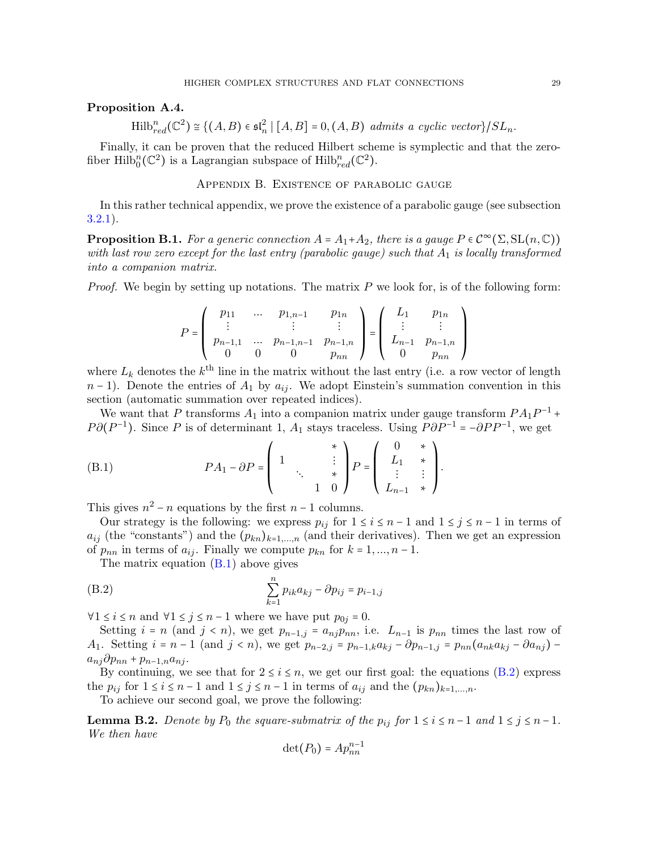## Proposition A.4.

 $\text{Hilb}_{red}^n(\mathbb{C}^2) \cong \{(A, B) \in \mathfrak{sl}_n^2 \mid [A, B] = 0, (A, B) \text{ admits a cyclic vector}\}/SL_n.$ 

<span id="page-28-0"></span>Finally, it can be proven that the reduced Hilbert scheme is symplectic and that the zerofiber Hilb $_0^n(\mathbb{C}^2)$  is a Lagrangian subspace of Hilb $_{red}^n(\mathbb{C}^2)$ .

Appendix B. Existence of parabolic gauge

In this rather technical appendix, we prove the existence of a parabolic gauge (see subsection [3.2.1\)](#page-9-1).

<span id="page-28-1"></span>**Proposition B.1.** For a generic connection  $A = A_1 + A_2$ , there is a gauge  $P \in C^{\infty}(\Sigma, SL(n, \mathbb{C}))$ with last row zero except for the last entry (parabolic gauge) such that  $A_1$  is locally transformed into a companion matrix.

*Proof.* We begin by setting up notations. The matrix  $P$  we look for, is of the following form:

$$
P = \left(\begin{array}{cccc} p_{11} & \dots & p_{1,n-1} & p_{1n} \\ \vdots & & \vdots & \vdots \\ p_{n-1,1} & \dots & p_{n-1,n-1} & p_{n-1,n} \\ 0 & 0 & 0 & p_{nn} \end{array}\right) = \left(\begin{array}{cccc} L_1 & p_{1n} \\ \vdots & & \vdots \\ L_{n-1} & p_{n-1,n} \\ 0 & p_{nn} \end{array}\right)
$$

where  $L_k$  denotes the  $k^{\text{th}}$  line in the matrix without the last entry (i.e. a row vector of length  $n-1$ ). Denote the entries of  $A_1$  by  $a_{ij}$ . We adopt Einstein's summation convention in this section (automatic summation over repeated indices).

We want that P transforms  $A_1$  into a companion matrix under gauge transform  $PA_1P^{-1}$  +  $P\partial(P^{-1})$ . Since P is of determinant 1,  $A_1$  stays traceless. Using  $\overrightarrow{P}\partial P^{-1} = -\partial PP^{-1}$ , we get

<span id="page-28-2"></span>(B.1) 
$$
PA_1 - \partial P = \begin{pmatrix} 1 & * \\ 1 & * \\ * & * \\ 1 & 0 \end{pmatrix} P = \begin{pmatrix} 0 & * \\ L_1 & * \\ \vdots & \vdots \\ L_{n-1} & * \end{pmatrix}.
$$

This gives  $n^2 - n$  equations by the first  $n - 1$  columns.

Our strategy is the following: we express  $p_{ij}$  for  $1 \le i \le n-1$  and  $1 \le j \le n-1$  in terms of  $a_{ij}$  (the "constants") and the  $(p_{kn})_{k=1,\dots,n}$  (and their derivatives). Then we get an expression of  $p_{nn}$  in terms of  $a_{ij}$ . Finally we compute  $p_{kn}$  for  $k = 1, ..., n - 1$ .

The matrix equation  $(B.1)$  above gives

(B.2) 
$$
\sum_{k=1}^{n} p_{ik} a_{kj} - \partial p_{ij} = p_{i-1,j}
$$

 $\forall 1 \leq i \leq n$  and  $\forall 1 \leq j \leq n-1$  where we have put  $p_{0j} = 0$ .

Setting  $i = n$  (and  $j < n$ ), we get  $p_{n-1,j} = a_{nj}p_{nn}$ , i.e.  $L_{n-1}$  is  $p_{nn}$  times the last row of A<sub>1</sub>. Setting  $i = n - 1$  (and  $j < n$ ), we get  $p_{n-2,j} = p_{n-1,k} a_{kj} - \partial p_{n-1,j} = p_{nn} (a_{nk} a_{kj} - \partial a_{nj})$  $a_{nj}\partial p_{nn} + p_{n-1,n}a_{nj}.$ 

By continuing, we see that for  $2 \le i \le n$ , we get our first goal: the equations [\(B.2\)](#page-28-3) express the  $p_{ij}$  for  $1 \le i \le n-1$  and  $1 \le j \le n-1$  in terms of  $a_{ij}$  and the  $(p_{kn})_{k=1,\ldots,n}$ .

To achieve our second goal, we prove the following:

**Lemma B.2.** Denote by  $P_0$  the square-submatrix of the  $p_{ij}$  for  $1 \le i \le n-1$  and  $1 \le j \le n-1$ . We then have

<span id="page-28-3"></span>
$$
\det(P_0)=Ap_{nn}^{n-1}
$$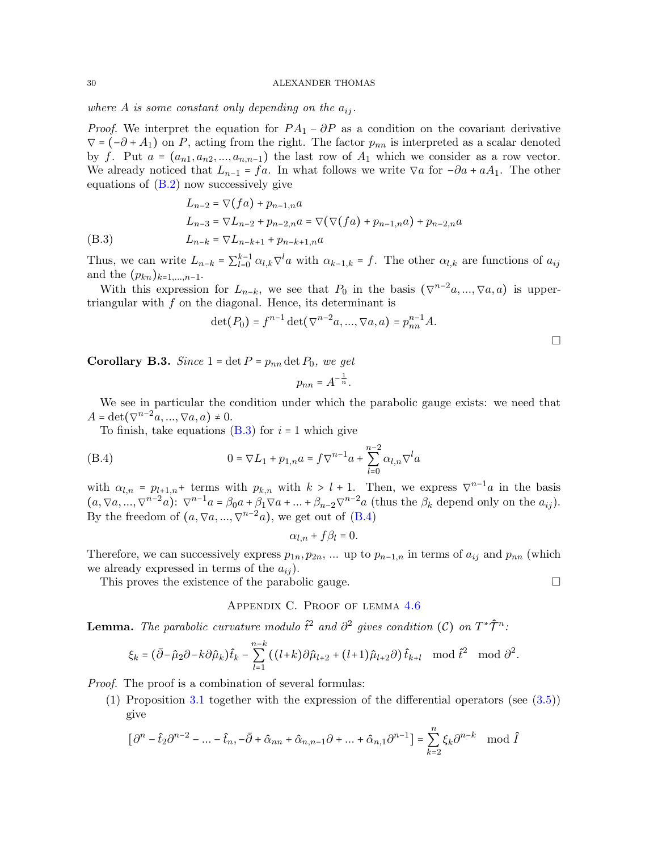where A is some constant only depending on the  $a_{ij}$ .

*Proof.* We interpret the equation for  $PA_1 - \partial P$  as a condition on the covariant derivative  $\nabla = (-\partial + A_1)$  on P, acting from the right. The factor  $p_{nn}$  is interpreted as a scalar denoted by f. Put  $a = (a_{n1}, a_{n2}, ..., a_{n,n-1})$  the last row of  $A_1$  which we consider as a row vector. We already noticed that  $L_{n-1} = fa$ . In what follows we write  $\nabla a$  for  $-\partial a + aA_1$ . The other equations of  $(B.2)$  now successively give

$$
L_{n-2} = \nabla(fa) + p_{n-1,n}a
$$
  
\n
$$
L_{n-3} = \nabla L_{n-2} + p_{n-2,n}a = \nabla(\nabla(fa) + p_{n-1,n}a) + p_{n-2,n}a
$$
  
\n(B.3) 
$$
L_{n-k} = \nabla L_{n-k+1} + p_{n-k+1,n}a
$$

<span id="page-29-1"></span>Thus, we can write  $L_{n-k} = \sum_{l=0}^{k-1} \alpha_{l,k} \nabla^l a$  with  $\alpha_{k-1,k} = f$ . The other  $\alpha_{l,k}$  are functions of  $a_{ij}$ and the  $(p_{kn})_{k=1,...,n-1}$ .

With this expression for  $L_{n-k}$ , we see that  $P_0$  in the basis  $(\nabla^{n-2}a, ..., \nabla a, a)$  is uppertriangular with  $f$  on the diagonal. Hence, its determinant is

$$
\det(P_0) = f^{n-1} \det(\nabla^{n-2} a, ..., \nabla a, a) = p_{nn}^{n-1} A.
$$

**Corollary B.3.** Since  $1 = \det P = p_{nn} \det P_0$ , we get

$$
p_{nn} = A^{-\frac{1}{n}}.
$$

We see in particular the condition under which the parabolic gauge exists: we need that  $A = \det(\nabla^{n-2}a, ..., \nabla a, a) \neq 0.$ 

To finish, take equations  $(B.3)$  for  $i = 1$  which give

(B.4) 
$$
0 = \nabla L_1 + p_{1,n} a = f \nabla^{n-1} a + \sum_{l=0}^{n-2} \alpha_{l,n} \nabla^l a
$$

with  $\alpha_{l,n} = p_{l+1,n}$ + terms with  $p_{k,n}$  with  $k > l+1$ . Then, we express  $\nabla^{n-1}a$  in the basis  $(a, \nabla a, ..., \nabla^{n-2} a)$ :  $\nabla^{n-1} a = \beta_0 a + \beta_1 \nabla a + ... + \beta_{n-2} \nabla^{n-2} a$  (thus the  $\beta_k$  depend only on the  $a_{ij}$ ). By the freedom of  $(a, \nabla a, ..., \nabla^{n-2}a)$ , we get out of  $(B.4)$ 

<span id="page-29-2"></span>
$$
\alpha_{l,n} + f\beta_l = 0.
$$

Therefore, we can successively express  $p_{1n}, p_{2n}, ...$  up to  $p_{n-1,n}$  in terms of  $a_{ij}$  and  $p_{nn}$  (which we already expressed in terms of the  $a_{ij}$ .

<span id="page-29-0"></span>This proves the existence of the parabolic gauge.  $\Box$ 

## Appendix C. Proof of lemma [4.6](#page-18-1)

**Lemma.** The parabolic curvature modulo  $\hat{t}^2$  and  $\partial^2$  gives condition (C) on  $T^*\hat{\mathcal{T}}^n$ :

$$
\xi_k = (\bar{\partial} - \hat{\mu}_2 \partial - k \partial \hat{\mu}_k) \hat{t}_k - \sum_{l=1}^{n-k} \left( (l+k) \partial \hat{\mu}_{l+2} + (l+1) \hat{\mu}_{l+2} \partial \right) \hat{t}_{k+l} \mod \hat{t}^2 \mod \partial^2.
$$

Proof. The proof is a combination of several formulas:

(1) Proposition [3.1](#page-10-3) together with the expression of the differential operators (see [\(3.5\)](#page-11-1)) give

$$
\left[\partial^n - \hat{t}_2 \partial^{n-2} - \dots - \hat{t}_n, -\bar{\partial} + \hat{\alpha}_{nn} + \hat{\alpha}_{n,n-1} \partial + \dots + \hat{\alpha}_{n,1} \partial^{n-1}\right] = \sum_{k=2}^n \xi_k \partial^{n-k} \mod \hat{I}
$$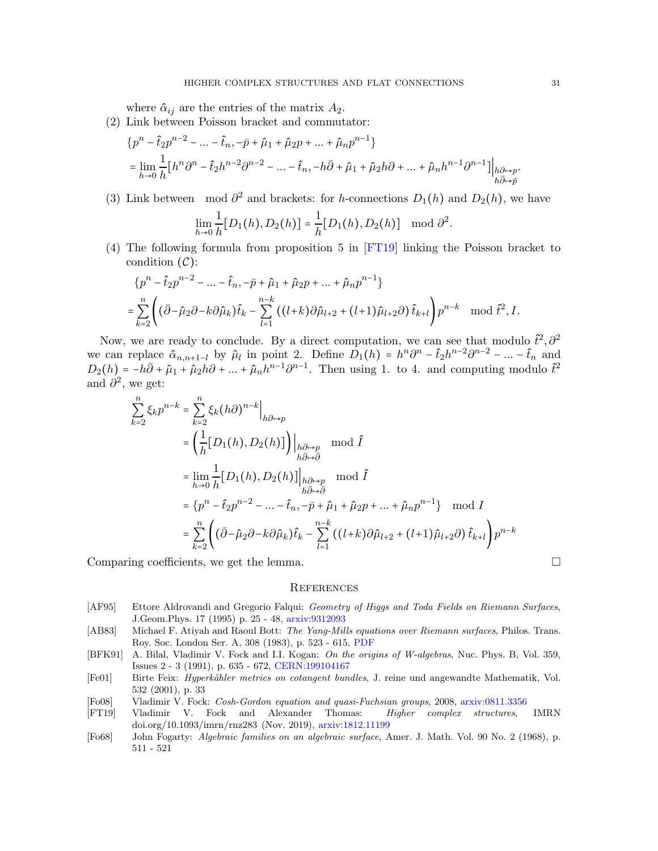where  $\hat{\alpha}_{ij}$  are the entries of the matrix  $A_2$ .

(2) Link between Poisson bracket and commutator:

$$
\begin{aligned} &\{p^n-\hat{t}_2p^{n-2}-\ldots-\hat{t}_n,-\bar{p}+\hat{\mu}_1+\hat{\mu}_2p+\ldots+\hat{\mu}_np^{n-1}\}\\ &=\lim_{h\to 0}\frac{1}{h}\big[h^n\partial^n-\hat{t}_2h^{n-2}\partial^{n-2}-\ldots-\hat{t}_n,-h\bar{\partial}+\hat{\mu}_1+\hat{\mu}_2h\partial+\ldots+\hat{\mu}_nh^{n-1}\partial^{n-1}\big]\big|_{h\partial\mapsto p}. \end{aligned}
$$

(3) Link between mod  $\partial^2$  and brackets: for h-connections  $D_1(h)$  and  $D_2(h)$ , we have

$$
\lim_{h \to 0} \frac{1}{h} [D_1(h), D_2(h)] = \frac{1}{h} [D_1(h), D_2(h)] \mod \partial^2.
$$

(4) The following formula from proposition 5 in [\[FT19\]](#page-30-0) linking the Poisson bracket to condition  $(C)$ :

$$
\{p^{n} - \hat{t}_2 p^{n-2} - \dots - \hat{t}_n, -\bar{p} + \hat{\mu}_1 + \hat{\mu}_2 p + \dots + \hat{\mu}_n p^{n-1}\}\
$$
  
= 
$$
\sum_{k=2}^n \left( (\bar{\partial} - \hat{\mu}_2 \partial - k \partial \hat{\mu}_k) \hat{t}_k - \sum_{l=1}^{n-k} \left( (l+k) \partial \hat{\mu}_{l+2} + (l+1) \hat{\mu}_{l+2} \partial \right) \hat{t}_{k+l} \right) p^{n-k} \mod \hat{t}^2, I.
$$

Now, we are ready to conclude. By a direct computation, we can see that modulo  $\hat{t}^2$ ,  $\hat{\partial}^2$ we can replace  $\hat{\alpha}_{n,n+1-l}$  by  $\hat{\mu}_l$  in point 2. Define  $\hat{D}_1(h) = h^n \partial^n - \hat{t}_2 h^{n-2} \partial^{n-2} - \dots - \hat{t}_n$  and  $D_2(h) = -h\overline{\partial} + \hat{\mu}_1 + \hat{\mu}_2h\overline{\partial} + \dots + \hat{\mu}_nh^{n-1}\overline{\partial}^{n-1}$ . Then using 1. to 4. and computing modulo  $\hat{t}^2$ and  $\hat{\partial}^2$ , we get:

$$
\sum_{k=2}^{n} \xi_k p^{n-k} = \sum_{k=2}^{n} \xi_k (h\partial)^{n-k} \Big|_{h\partial \mapsto p}
$$
  
\n
$$
= \left(\frac{1}{h} [D_1(h), D_2(h)]\right) \Big|_{h\partial \mapsto p} \mod \hat{I}
$$
  
\n
$$
= \lim_{h \to 0} \frac{1}{h} [D_1(h), D_2(h)] \Big|_{h\partial \mapsto p} \mod \hat{I}
$$
  
\n
$$
= \{p^n - \hat{t}_2 p^{n-2} - \dots - \hat{t}_n, -\bar{p} + \hat{\mu}_1 + \hat{\mu}_2 p + \dots + \hat{\mu}_n p^{n-1}\} \mod I
$$
  
\n
$$
= \sum_{k=2}^{n} \left( (\bar{\partial} - \hat{\mu}_2 \partial - k \partial \hat{\mu}_k) \hat{t}_k - \sum_{l=1}^{n-k} \left( (l+k) \partial \hat{\mu}_{l+2} + (l+1) \hat{\mu}_{l+2} \partial \right) \hat{t}_{k+l} \right) p^{n-k}
$$

Comparing coefficients, we get the lemma.

#### **REFERENCES**

- <span id="page-30-5"></span>[AF95] Ettore Aldrovandi and Gregorio Falqui: Geometry of Higgs and Toda Fields on Riemann Surfaces, J.Geom.Phys. 17 (1995) p. 25 - 48, [arxiv:9312093](https://arxiv.org/abs/hep-th/9312093)
- <span id="page-30-3"></span>[AB83] Michael F. Atiyah and Raoul Bott: The Yang-Mills equations over Riemann surfaces, Philos. Trans. Roy. Soc. London Ser. A, 308 (1983), p. 523 - 615, [PDF](http://www.math.toronto.edu/mgualt/Morse%20Theory/Atiyah-Bott.pdf)
- <span id="page-30-2"></span>[BFK91] A. Bilal, Vladimir V. Fock and I.I. Kogan: On the origins of W-algebras, Nuc. Phys. B, Vol. 359, Issues 2 - 3 (1991), p. 635 - 672, [CERN:199104167](http://cds.cern.ch/record/217043/files/199104167.pdf)
- <span id="page-30-1"></span>[Fe01] Birte Feix: *Hyperkähler metrics on cotangent bundles*, J. reine und angewandte Mathematik, Vol. 532 (2001), p. 33
- <span id="page-30-4"></span>[Fo08] Vladimir V. Fock: Cosh-Gordon equation and quasi-Fuchsian groups, 2008, [arxiv:0811.3356](https://arxiv.org/abs/0811.3356)
- <span id="page-30-0"></span>[FT19] Vladimir V. Fock and Alexander Thomas: Higher complex structures, IMRN doi.org/10.1093/imrn/rnz283 (Nov. 2019), [arxiv:1812.11199](https://arxiv.org/abs/1812.11199)
- <span id="page-30-6"></span>[Fo68] John Fogarty: Algebraic families on an algebraic surface, Amer. J. Math. Vol. 90 No. 2 (1968), p. 511 - 521